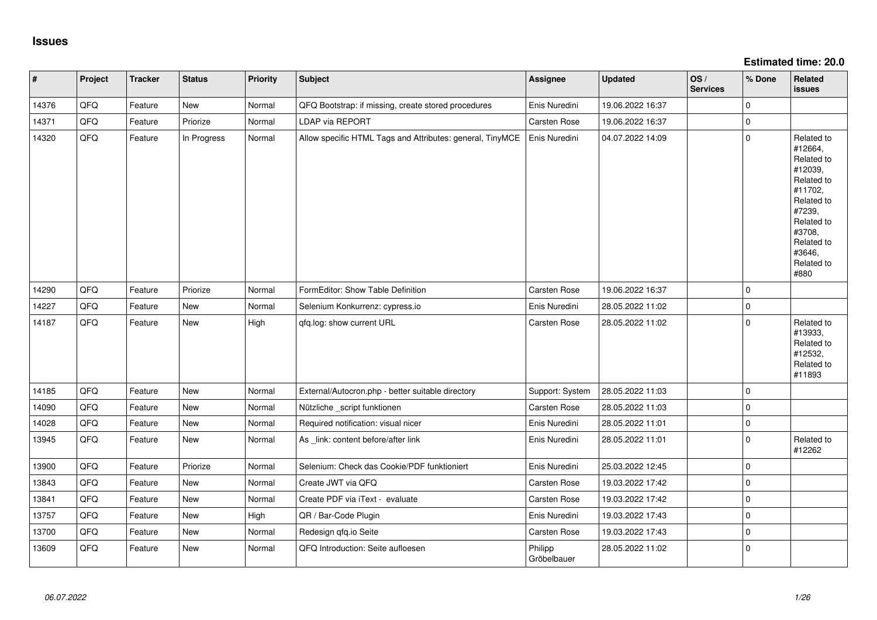**Estimated time: 20.0**

| $\vert$ # | Project | <b>Tracker</b> | <b>Status</b> | <b>Priority</b> | Subject                                                   | Assignee               | <b>Updated</b>   | OS/<br><b>Services</b> | % Done      | Related<br><b>issues</b>                                                                                                                                              |
|-----------|---------|----------------|---------------|-----------------|-----------------------------------------------------------|------------------------|------------------|------------------------|-------------|-----------------------------------------------------------------------------------------------------------------------------------------------------------------------|
| 14376     | QFQ     | Feature        | New           | Normal          | QFQ Bootstrap: if missing, create stored procedures       | Enis Nuredini          | 19.06.2022 16:37 |                        | $\mathbf 0$ |                                                                                                                                                                       |
| 14371     | QFQ     | Feature        | Priorize      | Normal          | LDAP via REPORT                                           | <b>Carsten Rose</b>    | 19.06.2022 16:37 |                        | $\mathbf 0$ |                                                                                                                                                                       |
| 14320     | QFQ     | Feature        | In Progress   | Normal          | Allow specific HTML Tags and Attributes: general, TinyMCE | Enis Nuredini          | 04.07.2022 14:09 |                        | $\pmb{0}$   | Related to<br>#12664,<br>Related to<br>#12039,<br>Related to<br>#11702,<br>Related to<br>#7239,<br>Related to<br>#3708,<br>Related to<br>#3646,<br>Related to<br>#880 |
| 14290     | QFQ     | Feature        | Priorize      | Normal          | FormEditor: Show Table Definition                         | Carsten Rose           | 19.06.2022 16:37 |                        | $\Omega$    |                                                                                                                                                                       |
| 14227     | QFQ     | Feature        | <b>New</b>    | Normal          | Selenium Konkurrenz: cypress.io                           | Enis Nuredini          | 28.05.2022 11:02 |                        | $\pmb{0}$   |                                                                                                                                                                       |
| 14187     | QFQ     | Feature        | <b>New</b>    | High            | qfq.log: show current URL                                 | Carsten Rose           | 28.05.2022 11:02 |                        | $\pmb{0}$   | Related to<br>#13933,<br>Related to<br>#12532,<br>Related to<br>#11893                                                                                                |
| 14185     | QFQ     | Feature        | <b>New</b>    | Normal          | External/Autocron.php - better suitable directory         | Support: System        | 28.05.2022 11:03 |                        | $\mathbf 0$ |                                                                                                                                                                       |
| 14090     | QFQ     | Feature        | <b>New</b>    | Normal          | Nützliche _script funktionen                              | Carsten Rose           | 28.05.2022 11:03 |                        | $\mathbf 0$ |                                                                                                                                                                       |
| 14028     | QFQ     | Feature        | New           | Normal          | Required notification: visual nicer                       | Enis Nuredini          | 28.05.2022 11:01 |                        | $\pmb{0}$   |                                                                                                                                                                       |
| 13945     | QFQ     | Feature        | New           | Normal          | As link: content before/after link                        | Enis Nuredini          | 28.05.2022 11:01 |                        | $\mathbf 0$ | Related to<br>#12262                                                                                                                                                  |
| 13900     | QFQ     | Feature        | Priorize      | Normal          | Selenium: Check das Cookie/PDF funktioniert               | Enis Nuredini          | 25.03.2022 12:45 |                        | $\mathbf 0$ |                                                                                                                                                                       |
| 13843     | QFQ     | Feature        | <b>New</b>    | Normal          | Create JWT via QFQ                                        | <b>Carsten Rose</b>    | 19.03.2022 17:42 |                        | $\mathbf 0$ |                                                                                                                                                                       |
| 13841     | QFQ     | Feature        | New           | Normal          | Create PDF via iText - evaluate                           | <b>Carsten Rose</b>    | 19.03.2022 17:42 |                        | $\mathbf 0$ |                                                                                                                                                                       |
| 13757     | QFQ     | Feature        | New           | High            | QR / Bar-Code Plugin                                      | Enis Nuredini          | 19.03.2022 17:43 |                        | $\mathbf 0$ |                                                                                                                                                                       |
| 13700     | QFQ     | Feature        | New           | Normal          | Redesign qfq.io Seite                                     | <b>Carsten Rose</b>    | 19.03.2022 17:43 |                        | $\mathbf 0$ |                                                                                                                                                                       |
| 13609     | QFQ     | Feature        | <b>New</b>    | Normal          | QFQ Introduction: Seite aufloesen                         | Philipp<br>Gröbelbauer | 28.05.2022 11:02 |                        | $\mathbf 0$ |                                                                                                                                                                       |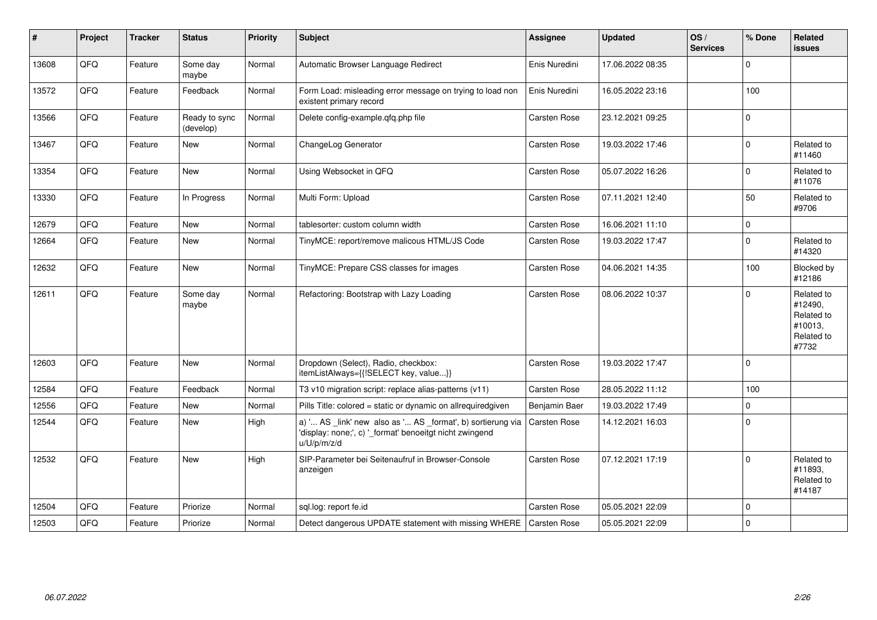| ∦     | Project | <b>Tracker</b> | <b>Status</b>              | Priority | <b>Subject</b>                                                                                                                        | Assignee            | <b>Updated</b>   | OS/<br><b>Services</b> | % Done      | Related<br>issues                                                     |
|-------|---------|----------------|----------------------------|----------|---------------------------------------------------------------------------------------------------------------------------------------|---------------------|------------------|------------------------|-------------|-----------------------------------------------------------------------|
| 13608 | QFQ     | Feature        | Some day<br>maybe          | Normal   | Automatic Browser Language Redirect                                                                                                   | Enis Nuredini       | 17.06.2022 08:35 |                        | $\pmb{0}$   |                                                                       |
| 13572 | QFQ     | Feature        | Feedback                   | Normal   | Form Load: misleading error message on trying to load non<br>existent primary record                                                  | Enis Nuredini       | 16.05.2022 23:16 |                        | 100         |                                                                       |
| 13566 | QFQ     | Feature        | Ready to sync<br>(develop) | Normal   | Delete config-example.gfg.php file                                                                                                    | Carsten Rose        | 23.12.2021 09:25 |                        | $\pmb{0}$   |                                                                       |
| 13467 | QFQ     | Feature        | <b>New</b>                 | Normal   | ChangeLog Generator                                                                                                                   | Carsten Rose        | 19.03.2022 17:46 |                        | $\pmb{0}$   | Related to<br>#11460                                                  |
| 13354 | QFQ     | Feature        | New                        | Normal   | Using Websocket in QFQ                                                                                                                | Carsten Rose        | 05.07.2022 16:26 |                        | $\mathbf 0$ | Related to<br>#11076                                                  |
| 13330 | QFQ     | Feature        | In Progress                | Normal   | Multi Form: Upload                                                                                                                    | <b>Carsten Rose</b> | 07.11.2021 12:40 |                        | 50          | Related to<br>#9706                                                   |
| 12679 | QFQ     | Feature        | New                        | Normal   | tablesorter: custom column width                                                                                                      | Carsten Rose        | 16.06.2021 11:10 |                        | $\mathbf 0$ |                                                                       |
| 12664 | QFQ     | Feature        | New                        | Normal   | TinyMCE: report/remove malicous HTML/JS Code                                                                                          | <b>Carsten Rose</b> | 19.03.2022 17:47 |                        | $\mathbf 0$ | Related to<br>#14320                                                  |
| 12632 | QFQ     | Feature        | <b>New</b>                 | Normal   | TinyMCE: Prepare CSS classes for images                                                                                               | <b>Carsten Rose</b> | 04.06.2021 14:35 |                        | 100         | Blocked by<br>#12186                                                  |
| 12611 | QFQ     | Feature        | Some day<br>maybe          | Normal   | Refactoring: Bootstrap with Lazy Loading                                                                                              | Carsten Rose        | 08.06.2022 10:37 |                        | $\mathbf 0$ | Related to<br>#12490,<br>Related to<br>#10013,<br>Related to<br>#7732 |
| 12603 | QFQ     | Feature        | New                        | Normal   | Dropdown (Select), Radio, checkbox:<br>itemListAlways={{!SELECT key, value}}                                                          | Carsten Rose        | 19.03.2022 17:47 |                        | $\mathbf 0$ |                                                                       |
| 12584 | QFQ     | Feature        | Feedback                   | Normal   | T3 v10 migration script: replace alias-patterns (v11)                                                                                 | Carsten Rose        | 28.05.2022 11:12 |                        | 100         |                                                                       |
| 12556 | QFQ     | Feature        | New                        | Normal   | Pills Title: colored = static or dynamic on allrequiredgiven                                                                          | Benjamin Baer       | 19.03.2022 17:49 |                        | $\mathbf 0$ |                                                                       |
| 12544 | QFQ     | Feature        | New                        | High     | a) ' AS _link' new also as ' AS _format', b) sortierung via<br>'display: none;', c) '_format' benoeitgt nicht zwingend<br>u/U/p/m/z/d | <b>Carsten Rose</b> | 14.12.2021 16:03 |                        | $\mathbf 0$ |                                                                       |
| 12532 | QFQ     | Feature        | <b>New</b>                 | High     | SIP-Parameter bei Seitenaufruf in Browser-Console<br>anzeigen                                                                         | <b>Carsten Rose</b> | 07.12.2021 17:19 |                        | $\mathbf 0$ | Related to<br>#11893,<br>Related to<br>#14187                         |
| 12504 | QFQ     | Feature        | Priorize                   | Normal   | sql.log: report fe.id                                                                                                                 | Carsten Rose        | 05.05.2021 22:09 |                        | $\Omega$    |                                                                       |
| 12503 | QFQ     | Feature        | Priorize                   | Normal   | Detect dangerous UPDATE statement with missing WHERE                                                                                  | Carsten Rose        | 05.05.2021 22:09 |                        | $\mathbf 0$ |                                                                       |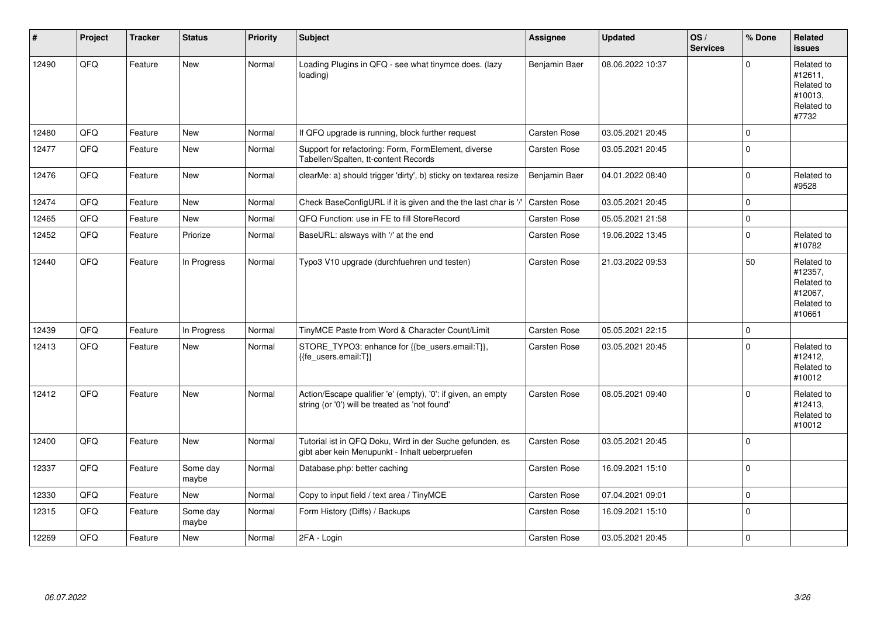| $\vert$ # | Project | <b>Tracker</b> | <b>Status</b>     | <b>Priority</b> | Subject                                                                                                        | Assignee            | <b>Updated</b>   | OS/<br><b>Services</b> | % Done         | Related<br><b>issues</b>                                               |
|-----------|---------|----------------|-------------------|-----------------|----------------------------------------------------------------------------------------------------------------|---------------------|------------------|------------------------|----------------|------------------------------------------------------------------------|
| 12490     | QFQ     | Feature        | <b>New</b>        | Normal          | Loading Plugins in QFQ - see what tinymce does. (lazy<br>loading)                                              | Benjamin Baer       | 08.06.2022 10:37 |                        | $\overline{0}$ | Related to<br>#12611,<br>Related to<br>#10013,<br>Related to<br>#7732  |
| 12480     | QFQ     | Feature        | <b>New</b>        | Normal          | If QFQ upgrade is running, block further request                                                               | Carsten Rose        | 03.05.2021 20:45 |                        | 0              |                                                                        |
| 12477     | QFQ     | Feature        | New               | Normal          | Support for refactoring: Form, FormElement, diverse<br>Tabellen/Spalten, tt-content Records                    | <b>Carsten Rose</b> | 03.05.2021 20:45 |                        | $\mathbf 0$    |                                                                        |
| 12476     | QFQ     | Feature        | New               | Normal          | clearMe: a) should trigger 'dirty', b) sticky on textarea resize                                               | Benjamin Baer       | 04.01.2022 08:40 |                        | $\pmb{0}$      | Related to<br>#9528                                                    |
| 12474     | QFQ     | Feature        | <b>New</b>        | Normal          | Check BaseConfigURL if it is given and the the last char is '/'                                                | <b>Carsten Rose</b> | 03.05.2021 20:45 |                        | 0              |                                                                        |
| 12465     | QFQ     | Feature        | <b>New</b>        | Normal          | QFQ Function: use in FE to fill StoreRecord                                                                    | Carsten Rose        | 05.05.2021 21:58 |                        | $\pmb{0}$      |                                                                        |
| 12452     | QFQ     | Feature        | Priorize          | Normal          | BaseURL: alsways with '/' at the end                                                                           | <b>Carsten Rose</b> | 19.06.2022 13:45 |                        | $\pmb{0}$      | Related to<br>#10782                                                   |
| 12440     | QFQ     | Feature        | In Progress       | Normal          | Typo3 V10 upgrade (durchfuehren und testen)                                                                    | <b>Carsten Rose</b> | 21.03.2022 09:53 |                        | 50             | Related to<br>#12357,<br>Related to<br>#12067,<br>Related to<br>#10661 |
| 12439     | QFQ     | Feature        | In Progress       | Normal          | TinyMCE Paste from Word & Character Count/Limit                                                                | <b>Carsten Rose</b> | 05.05.2021 22:15 |                        | 0              |                                                                        |
| 12413     | QFQ     | Feature        | New               | Normal          | STORE_TYPO3: enhance for {{be_users.email:T}},<br>{{fe users.email:T}}                                         | Carsten Rose        | 03.05.2021 20:45 |                        | $\mathbf 0$    | Related to<br>#12412,<br>Related to<br>#10012                          |
| 12412     | QFQ     | Feature        | New               | Normal          | Action/Escape qualifier 'e' (empty), '0': if given, an empty<br>string (or '0') will be treated as 'not found' | <b>Carsten Rose</b> | 08.05.2021 09:40 |                        | $\mathbf 0$    | Related to<br>#12413,<br>Related to<br>#10012                          |
| 12400     | QFQ     | Feature        | New               | Normal          | Tutorial ist in QFQ Doku, Wird in der Suche gefunden, es<br>gibt aber kein Menupunkt - Inhalt ueberpruefen     | <b>Carsten Rose</b> | 03.05.2021 20:45 |                        | $\mathbf 0$    |                                                                        |
| 12337     | QFQ     | Feature        | Some day<br>maybe | Normal          | Database.php: better caching                                                                                   | <b>Carsten Rose</b> | 16.09.2021 15:10 |                        | $\pmb{0}$      |                                                                        |
| 12330     | QFQ     | Feature        | <b>New</b>        | Normal          | Copy to input field / text area / TinyMCE                                                                      | <b>Carsten Rose</b> | 07.04.2021 09:01 |                        | 0              |                                                                        |
| 12315     | QFQ     | Feature        | Some day<br>maybe | Normal          | Form History (Diffs) / Backups                                                                                 | Carsten Rose        | 16.09.2021 15:10 |                        | $\pmb{0}$      |                                                                        |
| 12269     | QFQ     | Feature        | <b>New</b>        | Normal          | 2FA - Login                                                                                                    | <b>Carsten Rose</b> | 03.05.2021 20:45 |                        | 0              |                                                                        |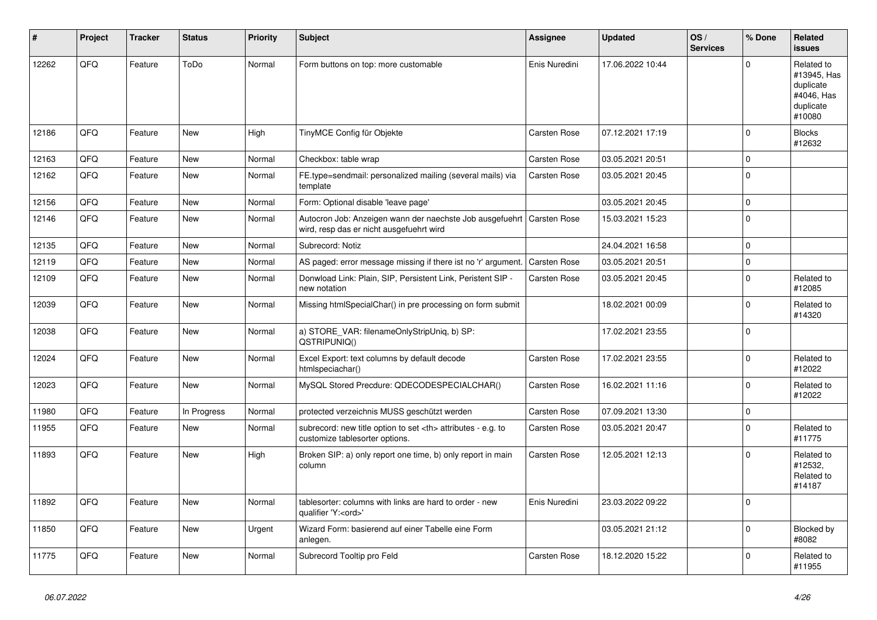| #     | Project    | <b>Tracker</b> | <b>Status</b> | <b>Priority</b> | <b>Subject</b>                                                                                       | Assignee                                               | <b>Updated</b>      | OS/<br><b>Services</b> | % Done      | Related<br><b>issues</b>                                                    |                      |
|-------|------------|----------------|---------------|-----------------|------------------------------------------------------------------------------------------------------|--------------------------------------------------------|---------------------|------------------------|-------------|-----------------------------------------------------------------------------|----------------------|
| 12262 | QFQ        | Feature        | ToDo          | Normal          | Form buttons on top: more customable                                                                 | Enis Nuredini                                          | 17.06.2022 10:44    |                        | $\Omega$    | Related to<br>#13945, Has<br>duplicate<br>#4046, Has<br>duplicate<br>#10080 |                      |
| 12186 | QFQ        | Feature        | <b>New</b>    | High            | TinyMCE Config für Objekte                                                                           | <b>Carsten Rose</b>                                    | 07.12.2021 17:19    |                        | $\mathbf 0$ | <b>Blocks</b><br>#12632                                                     |                      |
| 12163 | QFQ        | Feature        | New           | Normal          | Checkbox: table wrap                                                                                 | Carsten Rose                                           | 03.05.2021 20:51    |                        | $\pmb{0}$   |                                                                             |                      |
| 12162 | QFQ        | Feature        | New           | Normal          | FE.type=sendmail: personalized mailing (several mails) via<br>template                               | Carsten Rose                                           | 03.05.2021 20:45    |                        | $\Omega$    |                                                                             |                      |
| 12156 | QFQ        | Feature        | <b>New</b>    | Normal          | Form: Optional disable 'leave page'                                                                  |                                                        | 03.05.2021 20:45    |                        | $\pmb{0}$   |                                                                             |                      |
| 12146 | QFQ        | Feature        | New           | Normal          | Autocron Job: Anzeigen wann der naechste Job ausgefuehrt<br>wird, resp das er nicht ausgefuehrt wird | <b>Carsten Rose</b>                                    | 15.03.2021 15:23    |                        | $\pmb{0}$   |                                                                             |                      |
| 12135 | <b>OFO</b> | Feature        | <b>New</b>    | Normal          | Subrecord: Notiz                                                                                     |                                                        | 24.04.2021 16:58    |                        | $\pmb{0}$   |                                                                             |                      |
| 12119 | QFQ        | Feature        | <b>New</b>    | Normal          | AS paged: error message missing if there ist no 'r' argument.                                        | Carsten Rose                                           | 03.05.2021 20:51    |                        | $\mathbf 0$ |                                                                             |                      |
| 12109 | QFQ        | Feature        | <b>New</b>    | Normal          | Donwload Link: Plain, SIP, Persistent Link, Peristent SIP -<br>new notation                          | Carsten Rose                                           | 03.05.2021 20:45    |                        | $\mathbf 0$ | Related to<br>#12085                                                        |                      |
| 12039 | QFQ        | Feature        | <b>New</b>    | Normal          | Missing htmlSpecialChar() in pre processing on form submit                                           |                                                        | 18.02.2021 00:09    |                        | 0           | Related to<br>#14320                                                        |                      |
| 12038 | QFQ        | Feature        | New           | Normal          | a) STORE_VAR: filenameOnlyStripUniq, b) SP:<br>QSTRIPUNIQ()                                          |                                                        | 17.02.2021 23:55    |                        | $\mathbf 0$ |                                                                             |                      |
| 12024 | QFQ        | Feature        | <b>New</b>    | Normal          | Excel Export: text columns by default decode<br>htmlspeciachar()                                     | Carsten Rose                                           | 17.02.2021 23:55    |                        | $\pmb{0}$   | Related to<br>#12022                                                        |                      |
| 12023 | QFQ        | Feature        | <b>New</b>    | Normal          | MySQL Stored Precdure: QDECODESPECIALCHAR()                                                          | Carsten Rose                                           | 16.02.2021 11:16    |                        | $\Omega$    | Related to<br>#12022                                                        |                      |
| 11980 | QFQ        | Feature        | In Progress   | Normal          | protected verzeichnis MUSS geschützt werden                                                          | <b>Carsten Rose</b>                                    | 07.09.2021 13:30    |                        | $\pmb{0}$   |                                                                             |                      |
| 11955 | QFQ        | Feature        | New           | Normal          | subrecord: new title option to set <th> attributes - e.g. to<br/>customize tablesorter options.</th> | attributes - e.g. to<br>customize tablesorter options. | <b>Carsten Rose</b> | 03.05.2021 20:47       |             | 0                                                                           | Related to<br>#11775 |
| 11893 | QFQ        | Feature        | New           | High            | Broken SIP: a) only report one time, b) only report in main<br>column                                | <b>Carsten Rose</b>                                    | 12.05.2021 12:13    |                        | $\Omega$    | Related to<br>#12532,<br>Related to<br>#14187                               |                      |
| 11892 | QFQ        | Feature        | New           | Normal          | tablesorter: columns with links are hard to order - new<br>qualifier 'Y: <ord>'</ord>                | Enis Nuredini                                          | 23.03.2022 09:22    |                        | $\Omega$    |                                                                             |                      |
| 11850 | QFQ        | Feature        | New           | Urgent          | Wizard Form: basierend auf einer Tabelle eine Form<br>anlegen.                                       |                                                        | 03.05.2021 21:12    |                        | $\pmb{0}$   | Blocked by<br>#8082                                                         |                      |
| 11775 | QFQ        | Feature        | <b>New</b>    | Normal          | Subrecord Tooltip pro Feld                                                                           | Carsten Rose                                           | 18.12.2020 15:22    |                        | 0           | Related to<br>#11955                                                        |                      |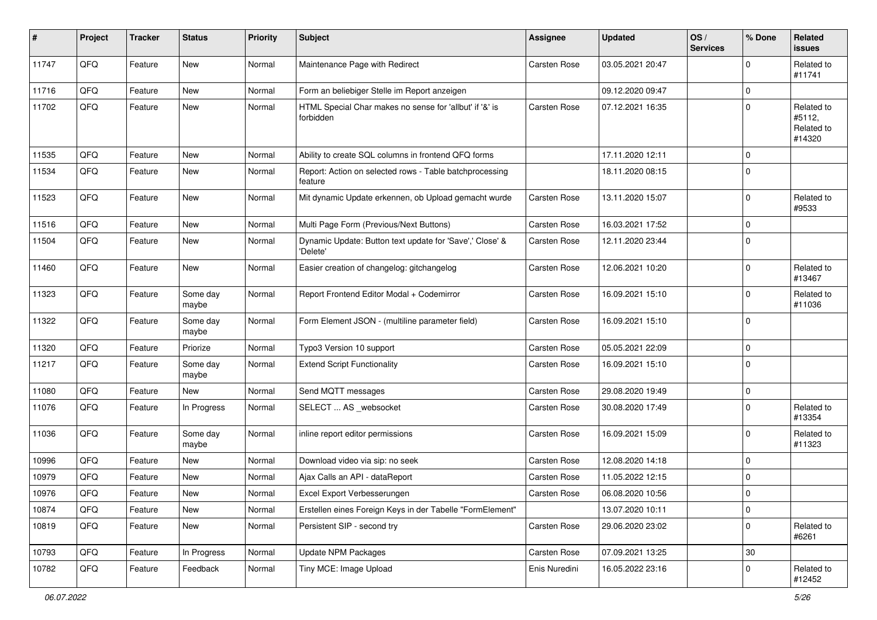| #     | Project | <b>Tracker</b> | <b>Status</b>     | <b>Priority</b> | <b>Subject</b>                                                       | Assignee            | <b>Updated</b>   | OS/<br><b>Services</b> | % Done         | Related<br><b>issues</b>                     |
|-------|---------|----------------|-------------------|-----------------|----------------------------------------------------------------------|---------------------|------------------|------------------------|----------------|----------------------------------------------|
| 11747 | QFQ     | Feature        | <b>New</b>        | Normal          | Maintenance Page with Redirect                                       | <b>Carsten Rose</b> | 03.05.2021 20:47 |                        | $\Omega$       | Related to<br>#11741                         |
| 11716 | QFQ     | Feature        | New               | Normal          | Form an beliebiger Stelle im Report anzeigen                         |                     | 09.12.2020 09:47 |                        | $\mathbf 0$    |                                              |
| 11702 | QFQ     | Feature        | <b>New</b>        | Normal          | HTML Special Char makes no sense for 'allbut' if '&' is<br>forbidden | Carsten Rose        | 07.12.2021 16:35 |                        | $\mathbf 0$    | Related to<br>#5112,<br>Related to<br>#14320 |
| 11535 | QFQ     | Feature        | <b>New</b>        | Normal          | Ability to create SQL columns in frontend QFQ forms                  |                     | 17.11.2020 12:11 |                        | $\Omega$       |                                              |
| 11534 | QFQ     | Feature        | <b>New</b>        | Normal          | Report: Action on selected rows - Table batchprocessing<br>feature   |                     | 18.11.2020 08:15 |                        | $\Omega$       |                                              |
| 11523 | QFQ     | Feature        | <b>New</b>        | Normal          | Mit dynamic Update erkennen, ob Upload gemacht wurde                 | Carsten Rose        | 13.11.2020 15:07 |                        | $\mathbf 0$    | Related to<br>#9533                          |
| 11516 | QFQ     | Feature        | <b>New</b>        | Normal          | Multi Page Form (Previous/Next Buttons)                              | Carsten Rose        | 16.03.2021 17:52 |                        | $\mathbf 0$    |                                              |
| 11504 | QFQ     | Feature        | New               | Normal          | Dynamic Update: Button text update for 'Save',' Close' &<br>'Delete' | Carsten Rose        | 12.11.2020 23:44 |                        | $\mathbf 0$    |                                              |
| 11460 | QFQ     | Feature        | <b>New</b>        | Normal          | Easier creation of changelog: gitchangelog                           | Carsten Rose        | 12.06.2021 10:20 |                        | $\mathbf 0$    | Related to<br>#13467                         |
| 11323 | QFQ     | Feature        | Some day<br>maybe | Normal          | Report Frontend Editor Modal + Codemirror                            | Carsten Rose        | 16.09.2021 15:10 |                        | $\mathbf 0$    | Related to<br>#11036                         |
| 11322 | QFQ     | Feature        | Some day<br>maybe | Normal          | Form Element JSON - (multiline parameter field)                      | Carsten Rose        | 16.09.2021 15:10 |                        | $\mathbf 0$    |                                              |
| 11320 | QFQ     | Feature        | Priorize          | Normal          | Typo3 Version 10 support                                             | Carsten Rose        | 05.05.2021 22:09 |                        | $\mathbf 0$    |                                              |
| 11217 | QFQ     | Feature        | Some day<br>maybe | Normal          | <b>Extend Script Functionality</b>                                   | Carsten Rose        | 16.09.2021 15:10 |                        | $\mathbf 0$    |                                              |
| 11080 | QFQ     | Feature        | New               | Normal          | Send MQTT messages                                                   | Carsten Rose        | 29.08.2020 19:49 |                        | $\mathbf 0$    |                                              |
| 11076 | QFQ     | Feature        | In Progress       | Normal          | SELECT  AS _websocket                                                | Carsten Rose        | 30.08.2020 17:49 |                        | $\mathbf 0$    | Related to<br>#13354                         |
| 11036 | QFQ     | Feature        | Some day<br>maybe | Normal          | inline report editor permissions                                     | Carsten Rose        | 16.09.2021 15:09 |                        | $\mathbf 0$    | Related to<br>#11323                         |
| 10996 | QFQ     | Feature        | New               | Normal          | Download video via sip: no seek                                      | Carsten Rose        | 12.08.2020 14:18 |                        | $\mathbf 0$    |                                              |
| 10979 | QFQ     | Feature        | New               | Normal          | Ajax Calls an API - dataReport                                       | Carsten Rose        | 11.05.2022 12:15 |                        | $\Omega$       |                                              |
| 10976 | QFQ     | Feature        | New               | Normal          | Excel Export Verbesserungen                                          | Carsten Rose        | 06.08.2020 10:56 |                        | $\overline{0}$ |                                              |
| 10874 | QFQ     | Feature        | New               | Normal          | Erstellen eines Foreign Keys in der Tabelle "FormElement"            |                     | 13.07.2020 10:11 |                        | $\mathbf 0$    |                                              |
| 10819 | QFQ     | Feature        | New               | Normal          | Persistent SIP - second try                                          | Carsten Rose        | 29.06.2020 23:02 |                        | $\mathbf 0$    | Related to<br>#6261                          |
| 10793 | QFQ     | Feature        | In Progress       | Normal          | Update NPM Packages                                                  | Carsten Rose        | 07.09.2021 13:25 |                        | $30\,$         |                                              |
| 10782 | QFQ     | Feature        | Feedback          | Normal          | Tiny MCE: Image Upload                                               | Enis Nuredini       | 16.05.2022 23:16 |                        | $\mathbf 0$    | Related to<br>#12452                         |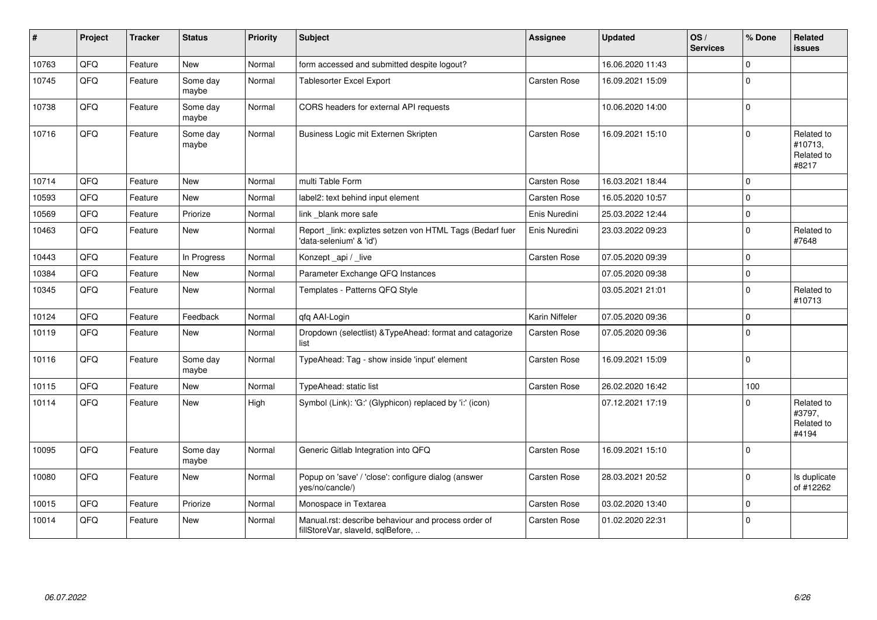| #     | Project | <b>Tracker</b> | <b>Status</b>     | <b>Priority</b> | <b>Subject</b>                                                                           | Assignee            | <b>Updated</b>   | OS/<br><b>Services</b> | % Done         | Related<br><b>issues</b>                     |
|-------|---------|----------------|-------------------|-----------------|------------------------------------------------------------------------------------------|---------------------|------------------|------------------------|----------------|----------------------------------------------|
| 10763 | QFQ     | Feature        | <b>New</b>        | Normal          | form accessed and submitted despite logout?                                              |                     | 16.06.2020 11:43 |                        | $\Omega$       |                                              |
| 10745 | QFQ     | Feature        | Some day<br>maybe | Normal          | <b>Tablesorter Excel Export</b>                                                          | Carsten Rose        | 16.09.2021 15:09 |                        | $\mathbf 0$    |                                              |
| 10738 | QFQ     | Feature        | Some day<br>maybe | Normal          | CORS headers for external API requests                                                   |                     | 10.06.2020 14:00 |                        | $\pmb{0}$      |                                              |
| 10716 | QFQ     | Feature        | Some day<br>maybe | Normal          | Business Logic mit Externen Skripten                                                     | <b>Carsten Rose</b> | 16.09.2021 15:10 |                        | $\Omega$       | Related to<br>#10713,<br>Related to<br>#8217 |
| 10714 | QFQ     | Feature        | <b>New</b>        | Normal          | multi Table Form                                                                         | Carsten Rose        | 16.03.2021 18:44 |                        | $\mathbf 0$    |                                              |
| 10593 | QFQ     | Feature        | New               | Normal          | label2: text behind input element                                                        | <b>Carsten Rose</b> | 16.05.2020 10:57 |                        | $\Omega$       |                                              |
| 10569 | QFQ     | Feature        | Priorize          | Normal          | link blank more safe                                                                     | Enis Nuredini       | 25.03.2022 12:44 |                        | $\mathbf 0$    |                                              |
| 10463 | QFQ     | Feature        | New               | Normal          | Report_link: expliztes setzen von HTML Tags (Bedarf fuer<br>'data-selenium' & 'id')      | Enis Nuredini       | 23.03.2022 09:23 |                        | $\mathbf 0$    | Related to<br>#7648                          |
| 10443 | QFQ     | Feature        | In Progress       | Normal          | Konzept_api / _live                                                                      | Carsten Rose        | 07.05.2020 09:39 |                        | $\mathbf 0$    |                                              |
| 10384 | QFQ     | Feature        | <b>New</b>        | Normal          | Parameter Exchange QFQ Instances                                                         |                     | 07.05.2020 09:38 |                        | $\overline{0}$ |                                              |
| 10345 | QFQ     | Feature        | New               | Normal          | Templates - Patterns QFQ Style                                                           |                     | 03.05.2021 21:01 |                        | $\Omega$       | Related to<br>#10713                         |
| 10124 | QFQ     | Feature        | Feedback          | Normal          | qfq AAI-Login                                                                            | Karin Niffeler      | 07.05.2020 09:36 |                        | $\mathbf 0$    |                                              |
| 10119 | QFQ     | Feature        | New               | Normal          | Dropdown (selectlist) & TypeAhead: format and catagorize<br>list                         | <b>Carsten Rose</b> | 07.05.2020 09:36 |                        | $\mathbf 0$    |                                              |
| 10116 | QFQ     | Feature        | Some day<br>maybe | Normal          | TypeAhead: Tag - show inside 'input' element                                             | Carsten Rose        | 16.09.2021 15:09 |                        | $\mathbf 0$    |                                              |
| 10115 | QFQ     | Feature        | <b>New</b>        | Normal          | TypeAhead: static list                                                                   | Carsten Rose        | 26.02.2020 16:42 |                        | 100            |                                              |
| 10114 | QFQ     | Feature        | New               | High            | Symbol (Link): 'G:' (Glyphicon) replaced by 'i:' (icon)                                  |                     | 07.12.2021 17:19 |                        | $\Omega$       | Related to<br>#3797,<br>Related to<br>#4194  |
| 10095 | QFQ     | Feature        | Some day<br>maybe | Normal          | Generic Gitlab Integration into QFQ                                                      | <b>Carsten Rose</b> | 16.09.2021 15:10 |                        | $\overline{0}$ |                                              |
| 10080 | QFQ     | Feature        | New               | Normal          | Popup on 'save' / 'close': configure dialog (answer<br>yes/no/cancle/)                   | <b>Carsten Rose</b> | 28.03.2021 20:52 |                        | $\Omega$       | Is duplicate<br>of #12262                    |
| 10015 | QFQ     | Feature        | Priorize          | Normal          | Monospace in Textarea                                                                    | <b>Carsten Rose</b> | 03.02.2020 13:40 |                        | $\mathbf 0$    |                                              |
| 10014 | QFQ     | Feature        | New               | Normal          | Manual.rst: describe behaviour and process order of<br>fillStoreVar, slaveId, sqlBefore, | <b>Carsten Rose</b> | 01.02.2020 22:31 |                        | $\overline{0}$ |                                              |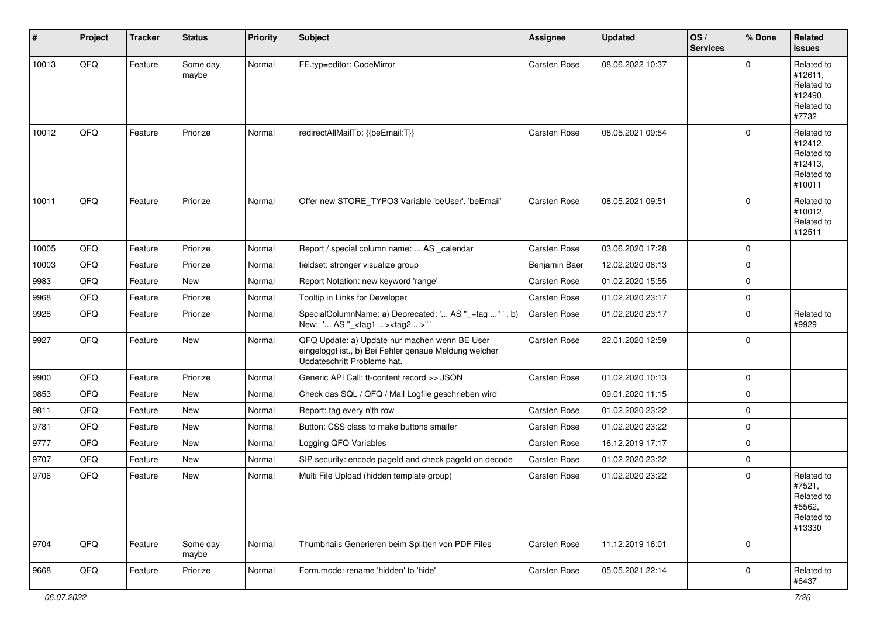| #     | Project | <b>Tracker</b> | <b>Status</b>     | <b>Priority</b> | <b>Subject</b>                                                                                                                        | Assignee      | <b>Updated</b>   | OS/<br><b>Services</b> | % Done      | Related<br>issues                                                      |
|-------|---------|----------------|-------------------|-----------------|---------------------------------------------------------------------------------------------------------------------------------------|---------------|------------------|------------------------|-------------|------------------------------------------------------------------------|
| 10013 | QFQ     | Feature        | Some day<br>maybe | Normal          | FE.typ=editor: CodeMirror                                                                                                             | Carsten Rose  | 08.06.2022 10:37 |                        | $\Omega$    | Related to<br>#12611,<br>Related to<br>#12490,<br>Related to<br>#7732  |
| 10012 | QFQ     | Feature        | Priorize          | Normal          | redirectAllMailTo: {{beEmail:T}}                                                                                                      | Carsten Rose  | 08.05.2021 09:54 |                        | $\mathbf 0$ | Related to<br>#12412,<br>Related to<br>#12413.<br>Related to<br>#10011 |
| 10011 | QFQ     | Feature        | Priorize          | Normal          | Offer new STORE_TYPO3 Variable 'beUser', 'beEmail'                                                                                    | Carsten Rose  | 08.05.2021 09:51 |                        | $\Omega$    | Related to<br>#10012,<br>Related to<br>#12511                          |
| 10005 | QFQ     | Feature        | Priorize          | Normal          | Report / special column name:  AS _calendar                                                                                           | Carsten Rose  | 03.06.2020 17:28 |                        | $\mathbf 0$ |                                                                        |
| 10003 | QFQ     | Feature        | Priorize          | Normal          | fieldset: stronger visualize group                                                                                                    | Benjamin Baer | 12.02.2020 08:13 |                        | $\mathbf 0$ |                                                                        |
| 9983  | QFQ     | Feature        | New               | Normal          | Report Notation: new keyword 'range'                                                                                                  | Carsten Rose  | 01.02.2020 15:55 |                        | $\mathbf 0$ |                                                                        |
| 9968  | QFQ     | Feature        | Priorize          | Normal          | Tooltip in Links for Developer                                                                                                        | Carsten Rose  | 01.02.2020 23:17 |                        | $\mathbf 0$ |                                                                        |
| 9928  | QFQ     | Feature        | Priorize          | Normal          | SpecialColumnName: a) Deprecated: ' AS "_+tag "', b)<br>New: ' AS "_ <tag1><tag2>"'</tag2></tag1>                                     | Carsten Rose  | 01.02.2020 23:17 |                        | $\mathbf 0$ | Related to<br>#9929                                                    |
| 9927  | QFQ     | Feature        | New               | Normal          | QFQ Update: a) Update nur machen wenn BE User<br>eingeloggt ist., b) Bei Fehler genaue Meldung welcher<br>Updateschritt Probleme hat. | Carsten Rose  | 22.01.2020 12:59 |                        | $\mathbf 0$ |                                                                        |
| 9900  | QFQ     | Feature        | Priorize          | Normal          | Generic API Call: tt-content record >> JSON                                                                                           | Carsten Rose  | 01.02.2020 10:13 |                        | $\mathbf 0$ |                                                                        |
| 9853  | QFQ     | Feature        | <b>New</b>        | Normal          | Check das SQL / QFQ / Mail Logfile geschrieben wird                                                                                   |               | 09.01.2020 11:15 |                        | $\mathbf 0$ |                                                                        |
| 9811  | QFQ     | Feature        | New               | Normal          | Report: tag every n'th row                                                                                                            | Carsten Rose  | 01.02.2020 23:22 |                        | $\mathbf 0$ |                                                                        |
| 9781  | QFQ     | Feature        | <b>New</b>        | Normal          | Button: CSS class to make buttons smaller                                                                                             | Carsten Rose  | 01.02.2020 23:22 |                        | $\mathbf 0$ |                                                                        |
| 9777  | QFQ     | Feature        | New               | Normal          | Logging QFQ Variables                                                                                                                 | Carsten Rose  | 16.12.2019 17:17 |                        | $\mathbf 0$ |                                                                        |
| 9707  | QFQ     | Feature        | New               | Normal          | SIP security: encode pageld and check pageld on decode                                                                                | Carsten Rose  | 01.02.2020 23:22 |                        | $\mathbf 0$ |                                                                        |
| 9706  | QFQ     | Feature        | <b>New</b>        | Normal          | Multi File Upload (hidden template group)                                                                                             | Carsten Rose  | 01.02.2020 23:22 |                        | $\Omega$    | Related to<br>#7521,<br>Related to<br>#5562,<br>Related to<br>#13330   |
| 9704  | QFQ     | Feature        | Some day<br>maybe | Normal          | Thumbnails Generieren beim Splitten von PDF Files                                                                                     | Carsten Rose  | 11.12.2019 16:01 |                        | $\mathbf 0$ |                                                                        |
| 9668  | QFQ     | Feature        | Priorize          | Normal          | Form.mode: rename 'hidden' to 'hide'                                                                                                  | Carsten Rose  | 05.05.2021 22:14 |                        | 0           | Related to<br>#6437                                                    |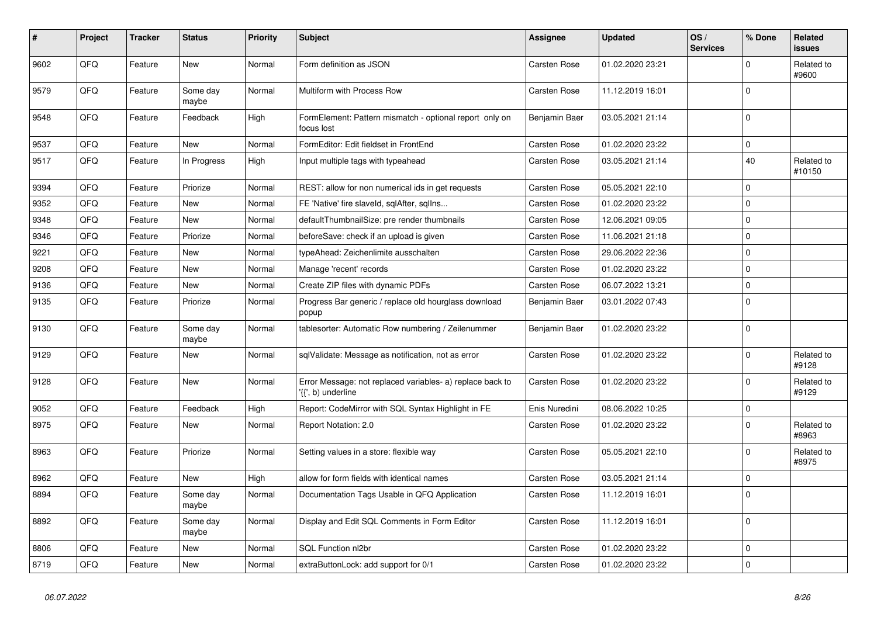| #    | <b>Project</b> | <b>Tracker</b> | <b>Status</b>     | <b>Priority</b> | <b>Subject</b>                                                                  | <b>Assignee</b>     | <b>Updated</b>   | OS/<br><b>Services</b> | % Done         | Related<br><b>issues</b> |
|------|----------------|----------------|-------------------|-----------------|---------------------------------------------------------------------------------|---------------------|------------------|------------------------|----------------|--------------------------|
| 9602 | QFQ            | Feature        | New               | Normal          | Form definition as JSON                                                         | <b>Carsten Rose</b> | 01.02.2020 23:21 |                        | $\Omega$       | Related to<br>#9600      |
| 9579 | QFQ            | Feature        | Some day<br>maybe | Normal          | Multiform with Process Row                                                      | <b>Carsten Rose</b> | 11.12.2019 16:01 |                        | $\mathbf 0$    |                          |
| 9548 | QFQ            | Feature        | Feedback          | High            | FormElement: Pattern mismatch - optional report only on<br>focus lost           | Benjamin Baer       | 03.05.2021 21:14 |                        | $\mathbf 0$    |                          |
| 9537 | QFQ            | Feature        | <b>New</b>        | Normal          | FormEditor: Edit fieldset in FrontEnd                                           | <b>Carsten Rose</b> | 01.02.2020 23:22 |                        | $\mathbf 0$    |                          |
| 9517 | QFQ            | Feature        | In Progress       | High            | Input multiple tags with typeahead                                              | Carsten Rose        | 03.05.2021 21:14 |                        | 40             | Related to<br>#10150     |
| 9394 | QFQ            | Feature        | Priorize          | Normal          | REST: allow for non numerical ids in get requests                               | Carsten Rose        | 05.05.2021 22:10 |                        | $\mathbf 0$    |                          |
| 9352 | QFQ            | Feature        | New               | Normal          | FE 'Native' fire slaveld, sqlAfter, sqlIns                                      | Carsten Rose        | 01.02.2020 23:22 |                        | $\mathbf 0$    |                          |
| 9348 | QFQ            | Feature        | New               | Normal          | defaultThumbnailSize: pre render thumbnails                                     | Carsten Rose        | 12.06.2021 09:05 |                        | $\mathbf 0$    |                          |
| 9346 | QFQ            | Feature        | Priorize          | Normal          | beforeSave: check if an upload is given                                         | Carsten Rose        | 11.06.2021 21:18 |                        | $\mathbf 0$    |                          |
| 9221 | QFQ            | Feature        | <b>New</b>        | Normal          | typeAhead: Zeichenlimite ausschalten                                            | <b>Carsten Rose</b> | 29.06.2022 22:36 |                        | $\mathbf 0$    |                          |
| 9208 | QFQ            | Feature        | New               | Normal          | Manage 'recent' records                                                         | <b>Carsten Rose</b> | 01.02.2020 23:22 |                        | $\mathbf 0$    |                          |
| 9136 | QFQ            | Feature        | New               | Normal          | Create ZIP files with dynamic PDFs                                              | <b>Carsten Rose</b> | 06.07.2022 13:21 |                        | $\mathbf 0$    |                          |
| 9135 | QFQ            | Feature        | Priorize          | Normal          | Progress Bar generic / replace old hourglass download<br>popup                  | Benjamin Baer       | 03.01.2022 07:43 |                        | $\mathbf 0$    |                          |
| 9130 | QFQ            | Feature        | Some day<br>maybe | Normal          | tablesorter: Automatic Row numbering / Zeilenummer                              | Benjamin Baer       | 01.02.2020 23:22 |                        | $\Omega$       |                          |
| 9129 | QFQ            | Feature        | <b>New</b>        | Normal          | sqlValidate: Message as notification, not as error                              | <b>Carsten Rose</b> | 01.02.2020 23:22 |                        | $\Omega$       | Related to<br>#9128      |
| 9128 | QFQ            | Feature        | New               | Normal          | Error Message: not replaced variables- a) replace back to<br>'{{', b) underline | Carsten Rose        | 01.02.2020 23:22 |                        | $\mathbf 0$    | Related to<br>#9129      |
| 9052 | QFQ            | Feature        | Feedback          | High            | Report: CodeMirror with SQL Syntax Highlight in FE                              | Enis Nuredini       | 08.06.2022 10:25 |                        | $\mathbf 0$    |                          |
| 8975 | QFQ            | Feature        | New               | Normal          | Report Notation: 2.0                                                            | Carsten Rose        | 01.02.2020 23:22 |                        | $\mathbf 0$    | Related to<br>#8963      |
| 8963 | QFQ            | Feature        | Priorize          | Normal          | Setting values in a store: flexible way                                         | <b>Carsten Rose</b> | 05.05.2021 22:10 |                        | $\Omega$       | Related to<br>#8975      |
| 8962 | QFQ            | Feature        | <b>New</b>        | High            | allow for form fields with identical names                                      | <b>Carsten Rose</b> | 03.05.2021 21:14 |                        | $\overline{0}$ |                          |
| 8894 | QFQ            | Feature        | Some day<br>maybe | Normal          | Documentation Tags Usable in QFQ Application                                    | Carsten Rose        | 11.12.2019 16:01 |                        | $\Omega$       |                          |
| 8892 | QFQ            | Feature        | Some day<br>maybe | Normal          | Display and Edit SQL Comments in Form Editor                                    | Carsten Rose        | 11.12.2019 16:01 |                        | $\overline{0}$ |                          |
| 8806 | QFQ            | Feature        | <b>New</b>        | Normal          | SQL Function nl2br                                                              | <b>Carsten Rose</b> | 01.02.2020 23:22 |                        | $\mathbf 0$    |                          |
| 8719 | QFQ            | Feature        | New               | Normal          | extraButtonLock: add support for 0/1                                            | <b>Carsten Rose</b> | 01.02.2020 23:22 |                        | $\overline{0}$ |                          |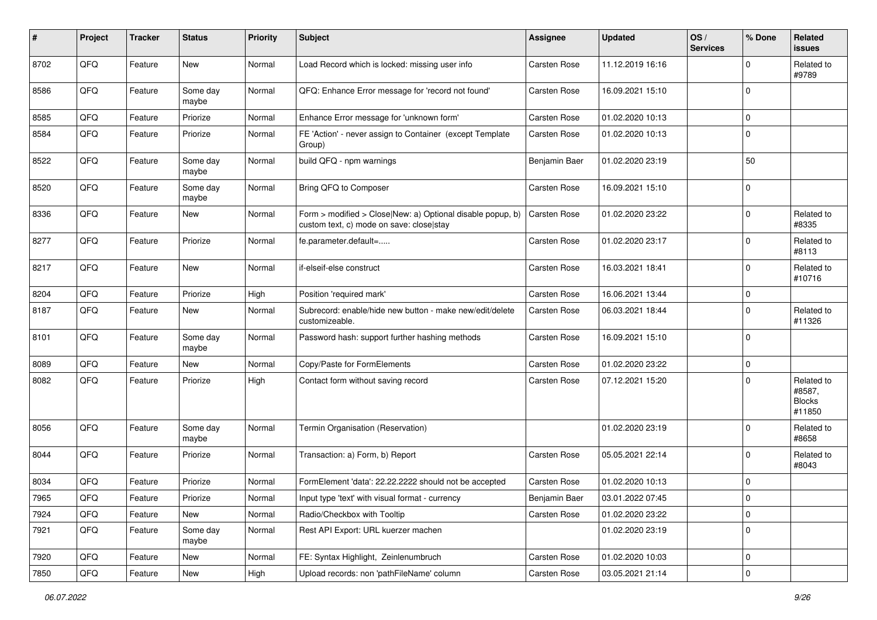| #    | Project        | <b>Tracker</b> | <b>Status</b>     | <b>Priority</b> | Subject                                                                                                | Assignee      | <b>Updated</b>   | OS/<br><b>Services</b> | % Done       | <b>Related</b><br><b>issues</b>                 |
|------|----------------|----------------|-------------------|-----------------|--------------------------------------------------------------------------------------------------------|---------------|------------------|------------------------|--------------|-------------------------------------------------|
| 8702 | QFQ            | Feature        | New               | Normal          | Load Record which is locked: missing user info                                                         | Carsten Rose  | 11.12.2019 16:16 |                        | $\mathbf 0$  | Related to<br>#9789                             |
| 8586 | QFQ            | Feature        | Some day<br>maybe | Normal          | QFQ: Enhance Error message for 'record not found'                                                      | Carsten Rose  | 16.09.2021 15:10 |                        | $\Omega$     |                                                 |
| 8585 | QFQ            | Feature        | Priorize          | Normal          | Enhance Error message for 'unknown form'                                                               | Carsten Rose  | 01.02.2020 10:13 |                        | $\Omega$     |                                                 |
| 8584 | QFQ            | Feature        | Priorize          | Normal          | FE 'Action' - never assign to Container (except Template<br>Group)                                     | Carsten Rose  | 01.02.2020 10:13 |                        | $\Omega$     |                                                 |
| 8522 | QFQ            | Feature        | Some day<br>maybe | Normal          | build QFQ - npm warnings                                                                               | Benjamin Baer | 01.02.2020 23:19 |                        | 50           |                                                 |
| 8520 | QFQ            | Feature        | Some day<br>maybe | Normal          | Bring QFQ to Composer                                                                                  | Carsten Rose  | 16.09.2021 15:10 |                        | $\Omega$     |                                                 |
| 8336 | QFQ            | Feature        | New               | Normal          | Form > modified > Close New: a) Optional disable popup, b)<br>custom text, c) mode on save: close stay | Carsten Rose  | 01.02.2020 23:22 |                        | $\Omega$     | Related to<br>#8335                             |
| 8277 | QFQ            | Feature        | Priorize          | Normal          | fe.parameter.default=                                                                                  | Carsten Rose  | 01.02.2020 23:17 |                        | $\Omega$     | Related to<br>#8113                             |
| 8217 | QFQ            | Feature        | New               | Normal          | if-elseif-else construct                                                                               | Carsten Rose  | 16.03.2021 18:41 |                        | $\Omega$     | Related to<br>#10716                            |
| 8204 | QFQ            | Feature        | Priorize          | High            | Position 'required mark'                                                                               | Carsten Rose  | 16.06.2021 13:44 |                        | $\Omega$     |                                                 |
| 8187 | QFQ            | Feature        | New               | Normal          | Subrecord: enable/hide new button - make new/edit/delete<br>customizeable.                             | Carsten Rose  | 06.03.2021 18:44 |                        | $\Omega$     | Related to<br>#11326                            |
| 8101 | QFQ            | Feature        | Some day<br>maybe | Normal          | Password hash: support further hashing methods                                                         | Carsten Rose  | 16.09.2021 15:10 |                        | $\Omega$     |                                                 |
| 8089 | QFQ            | Feature        | New               | Normal          | Copy/Paste for FormElements                                                                            | Carsten Rose  | 01.02.2020 23:22 |                        | $\mathbf 0$  |                                                 |
| 8082 | QFQ            | Feature        | Priorize          | High            | Contact form without saving record                                                                     | Carsten Rose  | 07.12.2021 15:20 |                        | $\Omega$     | Related to<br>#8587,<br><b>Blocks</b><br>#11850 |
| 8056 | QFQ            | Feature        | Some day<br>maybe | Normal          | Termin Organisation (Reservation)                                                                      |               | 01.02.2020 23:19 |                        | $\Omega$     | Related to<br>#8658                             |
| 8044 | QFQ            | Feature        | Priorize          | Normal          | Transaction: a) Form, b) Report                                                                        | Carsten Rose  | 05.05.2021 22:14 |                        | $\Omega$     | Related to<br>#8043                             |
| 8034 | QFQ            | Feature        | Priorize          | Normal          | FormElement 'data': 22.22.2222 should not be accepted                                                  | Carsten Rose  | 01.02.2020 10:13 |                        | $\Omega$     |                                                 |
| 7965 | $\mathsf{QFQ}$ | Feature        | Priorize          | Normal          | Input type 'text' with visual format - currency                                                        | Benjamin Baer | 03.01.2022 07:45 |                        | $\mathsf{U}$ |                                                 |
| 7924 | QFQ            | Feature        | New               | Normal          | Radio/Checkbox with Tooltip                                                                            | Carsten Rose  | 01.02.2020 23:22 |                        | 0            |                                                 |
| 7921 | QFQ            | Feature        | Some day<br>maybe | Normal          | Rest API Export: URL kuerzer machen                                                                    |               | 01.02.2020 23:19 |                        | $\mathbf 0$  |                                                 |
| 7920 | QFQ            | Feature        | New               | Normal          | FE: Syntax Highlight, Zeinlenumbruch                                                                   | Carsten Rose  | 01.02.2020 10:03 |                        | 0            |                                                 |
| 7850 | QFG            | Feature        | New               | High            | Upload records: non 'pathFileName' column                                                              | Carsten Rose  | 03.05.2021 21:14 |                        | $\pmb{0}$    |                                                 |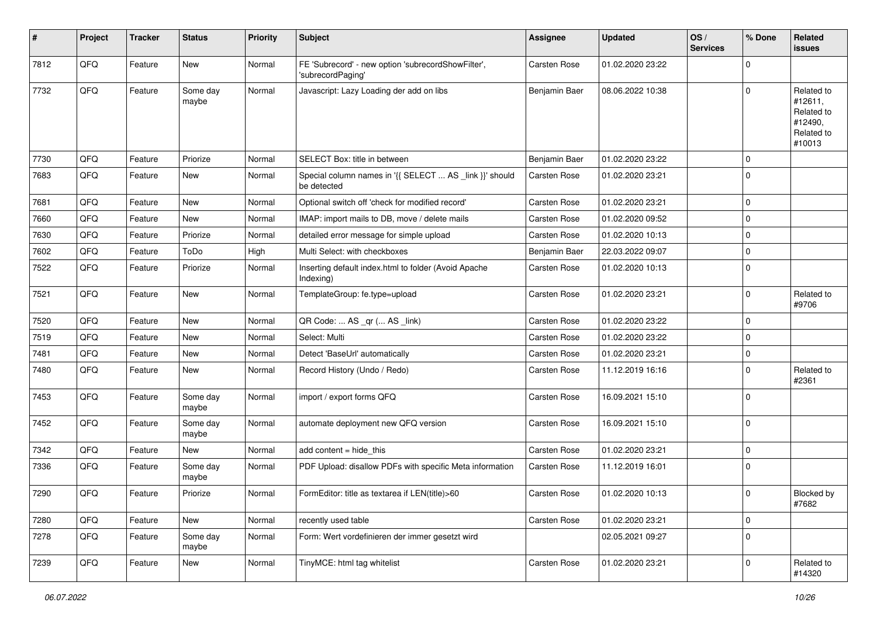| #    | Project | <b>Tracker</b> | <b>Status</b>     | <b>Priority</b> | <b>Subject</b>                                                          | Assignee            | <b>Updated</b>   | OS/<br><b>Services</b> | % Done         | Related<br><b>issues</b>                                               |
|------|---------|----------------|-------------------|-----------------|-------------------------------------------------------------------------|---------------------|------------------|------------------------|----------------|------------------------------------------------------------------------|
| 7812 | QFQ     | Feature        | New               | Normal          | FE 'Subrecord' - new option 'subrecordShowFilter',<br>'subrecordPaging' | <b>Carsten Rose</b> | 01.02.2020 23:22 |                        | $\mathbf 0$    |                                                                        |
| 7732 | QFQ     | Feature        | Some day<br>maybe | Normal          | Javascript: Lazy Loading der add on libs                                | Benjamin Baer       | 08.06.2022 10:38 |                        | $\Omega$       | Related to<br>#12611,<br>Related to<br>#12490,<br>Related to<br>#10013 |
| 7730 | QFQ     | Feature        | Priorize          | Normal          | SELECT Box: title in between                                            | Benjamin Baer       | 01.02.2020 23:22 |                        | $\mathbf 0$    |                                                                        |
| 7683 | QFQ     | Feature        | New               | Normal          | Special column names in '{{ SELECT  AS _link }}' should<br>be detected  | <b>Carsten Rose</b> | 01.02.2020 23:21 |                        | $\mathbf 0$    |                                                                        |
| 7681 | QFQ     | Feature        | <b>New</b>        | Normal          | Optional switch off 'check for modified record'                         | <b>Carsten Rose</b> | 01.02.2020 23:21 |                        | $\mathbf 0$    |                                                                        |
| 7660 | QFQ     | Feature        | New               | Normal          | IMAP: import mails to DB, move / delete mails                           | Carsten Rose        | 01.02.2020 09:52 |                        | $\mathbf 0$    |                                                                        |
| 7630 | QFQ     | Feature        | Priorize          | Normal          | detailed error message for simple upload                                | Carsten Rose        | 01.02.2020 10:13 |                        | $\mathbf 0$    |                                                                        |
| 7602 | QFQ     | Feature        | ToDo              | High            | Multi Select: with checkboxes                                           | Benjamin Baer       | 22.03.2022 09:07 |                        | $\mathbf 0$    |                                                                        |
| 7522 | QFQ     | Feature        | Priorize          | Normal          | Inserting default index.html to folder (Avoid Apache<br>Indexing)       | Carsten Rose        | 01.02.2020 10:13 |                        | $\Omega$       |                                                                        |
| 7521 | QFQ     | Feature        | <b>New</b>        | Normal          | TemplateGroup: fe.type=upload                                           | Carsten Rose        | 01.02.2020 23:21 |                        | $\mathbf 0$    | Related to<br>#9706                                                    |
| 7520 | QFQ     | Feature        | New               | Normal          | QR Code:  AS _qr ( AS _link)                                            | <b>Carsten Rose</b> | 01.02.2020 23:22 |                        | $\mathbf 0$    |                                                                        |
| 7519 | QFQ     | Feature        | New               | Normal          | Select: Multi                                                           | Carsten Rose        | 01.02.2020 23:22 |                        | $\mathbf 0$    |                                                                        |
| 7481 | QFQ     | Feature        | New               | Normal          | Detect 'BaseUrl' automatically                                          | Carsten Rose        | 01.02.2020 23:21 |                        | $\mathbf 0$    |                                                                        |
| 7480 | QFQ     | Feature        | <b>New</b>        | Normal          | Record History (Undo / Redo)                                            | Carsten Rose        | 11.12.2019 16:16 |                        | $\mathbf 0$    | Related to<br>#2361                                                    |
| 7453 | QFQ     | Feature        | Some day<br>maybe | Normal          | import / export forms QFQ                                               | Carsten Rose        | 16.09.2021 15:10 |                        | $\mathbf 0$    |                                                                        |
| 7452 | QFQ     | Feature        | Some day<br>maybe | Normal          | automate deployment new QFQ version                                     | Carsten Rose        | 16.09.2021 15:10 |                        | $\mathbf 0$    |                                                                        |
| 7342 | QFQ     | Feature        | New               | Normal          | add content = hide_this                                                 | <b>Carsten Rose</b> | 01.02.2020 23:21 |                        | $\mathbf 0$    |                                                                        |
| 7336 | QFQ     | Feature        | Some day<br>maybe | Normal          | PDF Upload: disallow PDFs with specific Meta information                | Carsten Rose        | 11.12.2019 16:01 |                        | $\mathbf 0$    |                                                                        |
| 7290 | QFQ     | Feature        | Priorize          | Normal          | FormEditor: title as textarea if LEN(title)>60                          | Carsten Rose        | 01.02.2020 10:13 |                        | $\overline{0}$ | Blocked by<br>#7682                                                    |
| 7280 | QFG     | Feature        | New               | Normal          | recently used table                                                     | Carsten Rose        | 01.02.2020 23:21 |                        | $\pmb{0}$      |                                                                        |
| 7278 | QFQ     | Feature        | Some day<br>maybe | Normal          | Form: Wert vordefinieren der immer gesetzt wird                         |                     | 02.05.2021 09:27 |                        | $\mathbf 0$    |                                                                        |
| 7239 | QFQ     | Feature        | New               | Normal          | TinyMCE: html tag whitelist                                             | Carsten Rose        | 01.02.2020 23:21 |                        | $\pmb{0}$      | Related to<br>#14320                                                   |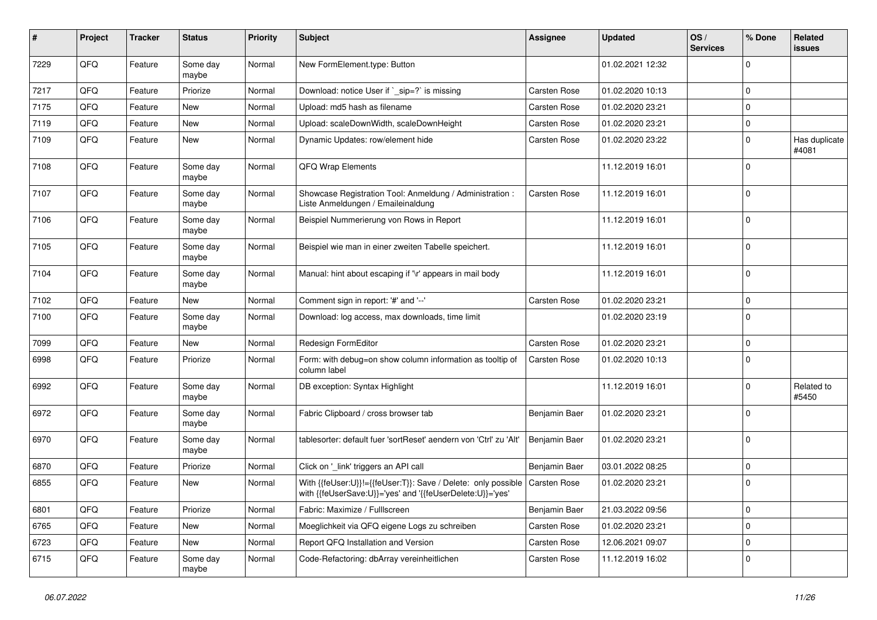| #    | Project | <b>Tracker</b> | <b>Status</b>     | <b>Priority</b> | Subject                                                                                                                    | Assignee            | <b>Updated</b>   | OS/<br><b>Services</b> | % Done      | Related<br>issues      |
|------|---------|----------------|-------------------|-----------------|----------------------------------------------------------------------------------------------------------------------------|---------------------|------------------|------------------------|-------------|------------------------|
| 7229 | QFQ     | Feature        | Some day<br>maybe | Normal          | New FormElement.type: Button                                                                                               |                     | 01.02.2021 12:32 |                        | $\Omega$    |                        |
| 7217 | QFQ     | Feature        | Priorize          | Normal          | Download: notice User if `_sip=?` is missing                                                                               | Carsten Rose        | 01.02.2020 10:13 |                        | $\Omega$    |                        |
| 7175 | QFQ     | Feature        | <b>New</b>        | Normal          | Upload: md5 hash as filename                                                                                               | Carsten Rose        | 01.02.2020 23:21 |                        | $\Omega$    |                        |
| 7119 | QFQ     | Feature        | New               | Normal          | Upload: scaleDownWidth, scaleDownHeight                                                                                    | Carsten Rose        | 01.02.2020 23:21 |                        | $\mathbf 0$ |                        |
| 7109 | QFQ     | Feature        | New               | Normal          | Dynamic Updates: row/element hide                                                                                          | Carsten Rose        | 01.02.2020 23:22 |                        | $\Omega$    | Has duplicate<br>#4081 |
| 7108 | QFQ     | Feature        | Some day<br>maybe | Normal          | QFQ Wrap Elements                                                                                                          |                     | 11.12.2019 16:01 |                        | $\Omega$    |                        |
| 7107 | QFQ     | Feature        | Some day<br>maybe | Normal          | Showcase Registration Tool: Anmeldung / Administration :<br>Liste Anmeldungen / Emaileinaldung                             | Carsten Rose        | 11.12.2019 16:01 |                        | $\Omega$    |                        |
| 7106 | QFQ     | Feature        | Some day<br>maybe | Normal          | Beispiel Nummerierung von Rows in Report                                                                                   |                     | 11.12.2019 16:01 |                        | $\Omega$    |                        |
| 7105 | QFQ     | Feature        | Some day<br>maybe | Normal          | Beispiel wie man in einer zweiten Tabelle speichert.                                                                       |                     | 11.12.2019 16:01 |                        | $\Omega$    |                        |
| 7104 | QFQ     | Feature        | Some day<br>maybe | Normal          | Manual: hint about escaping if '\r' appears in mail body                                                                   |                     | 11.12.2019 16:01 |                        | $\Omega$    |                        |
| 7102 | QFQ     | Feature        | <b>New</b>        | Normal          | Comment sign in report: '#' and '--'                                                                                       | Carsten Rose        | 01.02.2020 23:21 |                        | $\mathbf 0$ |                        |
| 7100 | QFQ     | Feature        | Some day<br>maybe | Normal          | Download: log access, max downloads, time limit                                                                            |                     | 01.02.2020 23:19 |                        | $\Omega$    |                        |
| 7099 | QFQ     | Feature        | <b>New</b>        | Normal          | Redesign FormEditor                                                                                                        | Carsten Rose        | 01.02.2020 23:21 |                        | $\mathbf 0$ |                        |
| 6998 | QFQ     | Feature        | Priorize          | Normal          | Form: with debug=on show column information as tooltip of<br>column label                                                  | Carsten Rose        | 01.02.2020 10:13 |                        | $\Omega$    |                        |
| 6992 | QFQ     | Feature        | Some day<br>maybe | Normal          | DB exception: Syntax Highlight                                                                                             |                     | 11.12.2019 16:01 |                        | $\mathbf 0$ | Related to<br>#5450    |
| 6972 | QFQ     | Feature        | Some day<br>maybe | Normal          | Fabric Clipboard / cross browser tab                                                                                       | Benjamin Baer       | 01.02.2020 23:21 |                        | $\Omega$    |                        |
| 6970 | QFQ     | Feature        | Some day<br>maybe | Normal          | tablesorter: default fuer 'sortReset' aendern von 'Ctrl' zu 'Alt'                                                          | Benjamin Baer       | 01.02.2020 23:21 |                        | $\mathbf 0$ |                        |
| 6870 | QFQ     | Feature        | Priorize          | Normal          | Click on '_link' triggers an API call                                                                                      | Benjamin Baer       | 03.01.2022 08:25 |                        | $\Omega$    |                        |
| 6855 | QFQ     | Feature        | New               | Normal          | With {{feUser:U}}!={{feUser:T}}: Save / Delete: only possible<br>with {{feUserSave:U}}='yes' and '{{feUserDelete:U}}='yes' | <b>Carsten Rose</b> | 01.02.2020 23:21 |                        | $\mathbf 0$ |                        |
| 6801 | QFQ     | Feature        | Priorize          | Normal          | Fabric: Maximize / FullIscreen                                                                                             | Benjamin Baer       | 21.03.2022 09:56 |                        | 0           |                        |
| 6765 | QFQ     | Feature        | New               | Normal          | Moeglichkeit via QFQ eigene Logs zu schreiben                                                                              | Carsten Rose        | 01.02.2020 23:21 |                        | 0           |                        |
| 6723 | QFQ     | Feature        | New               | Normal          | Report QFQ Installation and Version                                                                                        | Carsten Rose        | 12.06.2021 09:07 |                        | $\mathbf 0$ |                        |
| 6715 | QFQ     | Feature        | Some day<br>maybe | Normal          | Code-Refactoring: dbArray vereinheitlichen                                                                                 | Carsten Rose        | 11.12.2019 16:02 |                        | $\mathbf 0$ |                        |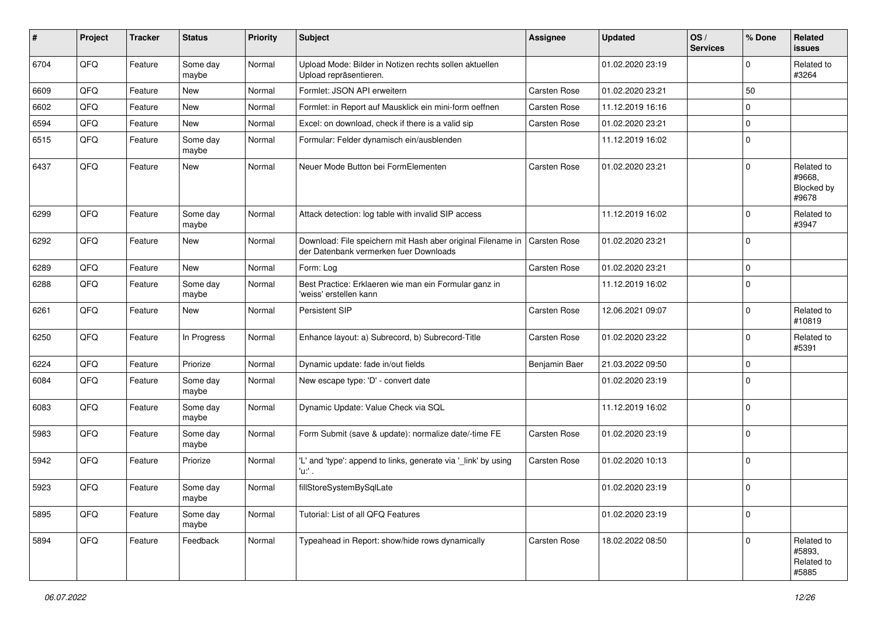| $\sharp$ | Project | <b>Tracker</b> | <b>Status</b>     | <b>Priority</b> | Subject                                                                                               | Assignee      | <b>Updated</b>   | OS/<br><b>Services</b> | % Done       | Related<br>issues                           |
|----------|---------|----------------|-------------------|-----------------|-------------------------------------------------------------------------------------------------------|---------------|------------------|------------------------|--------------|---------------------------------------------|
| 6704     | QFQ     | Feature        | Some day<br>maybe | Normal          | Upload Mode: Bilder in Notizen rechts sollen aktuellen<br>Upload repräsentieren.                      |               | 01.02.2020 23:19 |                        | $\mathbf 0$  | Related to<br>#3264                         |
| 6609     | QFQ     | Feature        | New               | Normal          | Formlet: JSON API erweitern                                                                           | Carsten Rose  | 01.02.2020 23:21 |                        | 50           |                                             |
| 6602     | QFQ     | Feature        | New               | Normal          | Formlet: in Report auf Mausklick ein mini-form oeffnen                                                | Carsten Rose  | 11.12.2019 16:16 |                        | $\mathbf 0$  |                                             |
| 6594     | QFQ     | Feature        | <b>New</b>        | Normal          | Excel: on download, check if there is a valid sip                                                     | Carsten Rose  | 01.02.2020 23:21 |                        | $\pmb{0}$    |                                             |
| 6515     | QFQ     | Feature        | Some day<br>maybe | Normal          | Formular: Felder dynamisch ein/ausblenden                                                             |               | 11.12.2019 16:02 |                        | $\mathbf 0$  |                                             |
| 6437     | QFQ     | Feature        | New               | Normal          | Neuer Mode Button bei FormElementen                                                                   | Carsten Rose  | 01.02.2020 23:21 |                        | $\mathbf 0$  | Related to<br>#9668,<br>Blocked by<br>#9678 |
| 6299     | QFQ     | Feature        | Some day<br>maybe | Normal          | Attack detection: log table with invalid SIP access                                                   |               | 11.12.2019 16:02 |                        | $\mathbf 0$  | Related to<br>#3947                         |
| 6292     | QFQ     | Feature        | New               | Normal          | Download: File speichern mit Hash aber original Filename in<br>der Datenbank vermerken fuer Downloads | Carsten Rose  | 01.02.2020 23:21 |                        | $\mathbf 0$  |                                             |
| 6289     | QFQ     | Feature        | <b>New</b>        | Normal          | Form: Log                                                                                             | Carsten Rose  | 01.02.2020 23:21 |                        | $\pmb{0}$    |                                             |
| 6288     | QFQ     | Feature        | Some day<br>maybe | Normal          | Best Practice: Erklaeren wie man ein Formular ganz in<br>'weiss' erstellen kann                       |               | 11.12.2019 16:02 |                        | $\mathbf 0$  |                                             |
| 6261     | QFQ     | Feature        | New               | Normal          | <b>Persistent SIP</b>                                                                                 | Carsten Rose  | 12.06.2021 09:07 |                        | $\mathbf 0$  | Related to<br>#10819                        |
| 6250     | QFQ     | Feature        | In Progress       | Normal          | Enhance layout: a) Subrecord, b) Subrecord-Title                                                      | Carsten Rose  | 01.02.2020 23:22 |                        | $\mathbf 0$  | Related to<br>#5391                         |
| 6224     | QFQ     | Feature        | Priorize          | Normal          | Dynamic update: fade in/out fields                                                                    | Benjamin Baer | 21.03.2022 09:50 |                        | $\mathbf 0$  |                                             |
| 6084     | QFQ     | Feature        | Some day<br>maybe | Normal          | New escape type: 'D' - convert date                                                                   |               | 01.02.2020 23:19 |                        | $\mathbf 0$  |                                             |
| 6083     | QFQ     | Feature        | Some day<br>maybe | Normal          | Dynamic Update: Value Check via SQL                                                                   |               | 11.12.2019 16:02 |                        | $\mathbf 0$  |                                             |
| 5983     | QFQ     | Feature        | Some day<br>maybe | Normal          | Form Submit (save & update): normalize date/-time FE                                                  | Carsten Rose  | 01.02.2020 23:19 |                        | $\mathbf 0$  |                                             |
| 5942     | QFQ     | Feature        | Priorize          | Normal          | 'L' and 'type': append to links, generate via '_link' by using<br>'u:' .                              | Carsten Rose  | 01.02.2020 10:13 |                        | $\mathbf 0$  |                                             |
| 5923     | QFQ     | Feature        | Some day<br>maybe | Normal          | fillStoreSystemBySqlLate                                                                              |               | 01.02.2020 23:19 |                        | 0            |                                             |
| 5895     | QFQ     | Feature        | Some day<br>maybe | Normal          | Tutorial: List of all QFQ Features                                                                    |               | 01.02.2020 23:19 |                        | $\pmb{0}$    |                                             |
| 5894     | QFQ     | Feature        | Feedback          | Normal          | Typeahead in Report: show/hide rows dynamically                                                       | Carsten Rose  | 18.02.2022 08:50 |                        | $\mathbf{0}$ | Related to<br>#5893,<br>Related to<br>#5885 |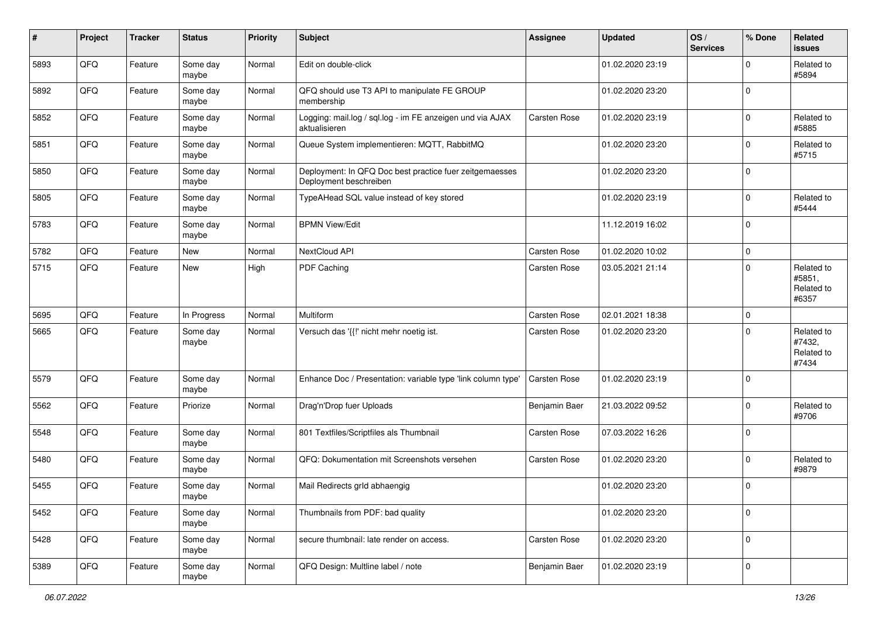| #    | Project | <b>Tracker</b> | <b>Status</b>     | <b>Priority</b> | <b>Subject</b>                                                                    | <b>Assignee</b> | <b>Updated</b>   | OS/<br><b>Services</b> | % Done         | Related<br>issues                           |
|------|---------|----------------|-------------------|-----------------|-----------------------------------------------------------------------------------|-----------------|------------------|------------------------|----------------|---------------------------------------------|
| 5893 | QFQ     | Feature        | Some day<br>maybe | Normal          | Edit on double-click                                                              |                 | 01.02.2020 23:19 |                        | $\mathbf 0$    | Related to<br>#5894                         |
| 5892 | QFQ     | Feature        | Some day<br>maybe | Normal          | QFQ should use T3 API to manipulate FE GROUP<br>membership                        |                 | 01.02.2020 23:20 |                        | $\mathbf 0$    |                                             |
| 5852 | QFQ     | Feature        | Some day<br>maybe | Normal          | Logging: mail.log / sql.log - im FE anzeigen und via AJAX<br>aktualisieren        | Carsten Rose    | 01.02.2020 23:19 |                        | $\mathbf 0$    | Related to<br>#5885                         |
| 5851 | QFQ     | Feature        | Some day<br>maybe | Normal          | Queue System implementieren: MQTT, RabbitMQ                                       |                 | 01.02.2020 23:20 |                        | 0              | Related to<br>#5715                         |
| 5850 | QFQ     | Feature        | Some day<br>maybe | Normal          | Deployment: In QFQ Doc best practice fuer zeitgemaesses<br>Deployment beschreiben |                 | 01.02.2020 23:20 |                        | $\mathbf 0$    |                                             |
| 5805 | QFQ     | Feature        | Some day<br>maybe | Normal          | TypeAHead SQL value instead of key stored                                         |                 | 01.02.2020 23:19 |                        | $\mathbf 0$    | Related to<br>#5444                         |
| 5783 | QFQ     | Feature        | Some day<br>maybe | Normal          | <b>BPMN View/Edit</b>                                                             |                 | 11.12.2019 16:02 |                        | $\mathbf 0$    |                                             |
| 5782 | QFQ     | Feature        | <b>New</b>        | Normal          | NextCloud API                                                                     | Carsten Rose    | 01.02.2020 10:02 |                        | $\mathbf 0$    |                                             |
| 5715 | QFQ     | Feature        | New               | High            | <b>PDF Caching</b>                                                                | Carsten Rose    | 03.05.2021 21:14 |                        | $\mathbf 0$    | Related to<br>#5851,<br>Related to<br>#6357 |
| 5695 | QFQ     | Feature        | In Progress       | Normal          | Multiform                                                                         | Carsten Rose    | 02.01.2021 18:38 |                        | $\mathbf 0$    |                                             |
| 5665 | QFQ     | Feature        | Some day<br>maybe | Normal          | Versuch das '{{!' nicht mehr noetig ist.                                          | Carsten Rose    | 01.02.2020 23:20 |                        | $\mathbf 0$    | Related to<br>#7432,<br>Related to<br>#7434 |
| 5579 | QFQ     | Feature        | Some day<br>maybe | Normal          | Enhance Doc / Presentation: variable type 'link column type'                      | Carsten Rose    | 01.02.2020 23:19 |                        | $\mathbf 0$    |                                             |
| 5562 | QFQ     | Feature        | Priorize          | Normal          | Drag'n'Drop fuer Uploads                                                          | Benjamin Baer   | 21.03.2022 09:52 |                        | $\mathbf 0$    | Related to<br>#9706                         |
| 5548 | QFQ     | Feature        | Some day<br>maybe | Normal          | 801 Textfiles/Scriptfiles als Thumbnail                                           | Carsten Rose    | 07.03.2022 16:26 |                        | $\mathbf 0$    |                                             |
| 5480 | QFQ     | Feature        | Some day<br>maybe | Normal          | QFQ: Dokumentation mit Screenshots versehen                                       | Carsten Rose    | 01.02.2020 23:20 |                        | $\mathbf 0$    | Related to<br>#9879                         |
| 5455 | QFQ     | Feature        | Some day<br>maybe | Normal          | Mail Redirects grld abhaengig                                                     |                 | 01.02.2020 23:20 |                        | $\mathbf 0$    |                                             |
| 5452 | QFQ     | Feature        | Some day<br>maybe | Normal          | Thumbnails from PDF: bad quality                                                  |                 | 01.02.2020 23:20 |                        | $\overline{0}$ |                                             |
| 5428 | QFQ     | Feature        | Some day<br>maybe | Normal          | secure thumbnail: late render on access.                                          | Carsten Rose    | 01.02.2020 23:20 |                        | $\mathbf 0$    |                                             |
| 5389 | QFG     | Feature        | Some day<br>maybe | Normal          | QFQ Design: Multline label / note                                                 | Benjamin Baer   | 01.02.2020 23:19 |                        | $\pmb{0}$      |                                             |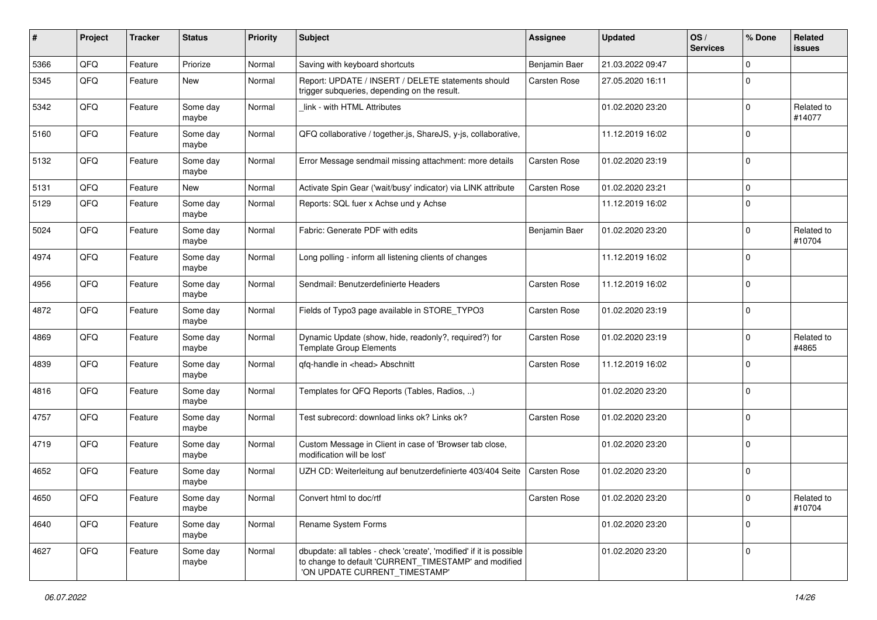| #    | Project | <b>Tracker</b> | <b>Status</b>     | <b>Priority</b> | <b>Subject</b>                                                                                                                                                | Assignee      | <b>Updated</b>   | OS/<br><b>Services</b> | % Done      | Related<br>issues    |
|------|---------|----------------|-------------------|-----------------|---------------------------------------------------------------------------------------------------------------------------------------------------------------|---------------|------------------|------------------------|-------------|----------------------|
| 5366 | QFQ     | Feature        | Priorize          | Normal          | Saving with keyboard shortcuts                                                                                                                                | Benjamin Baer | 21.03.2022 09:47 |                        | $\Omega$    |                      |
| 5345 | QFQ     | Feature        | New               | Normal          | Report: UPDATE / INSERT / DELETE statements should<br>trigger subqueries, depending on the result.                                                            | Carsten Rose  | 27.05.2020 16:11 |                        | $\Omega$    |                      |
| 5342 | QFQ     | Feature        | Some day<br>maybe | Normal          | link - with HTML Attributes                                                                                                                                   |               | 01.02.2020 23:20 |                        | $\mathbf 0$ | Related to<br>#14077 |
| 5160 | QFQ     | Feature        | Some day<br>maybe | Normal          | QFQ collaborative / together.js, ShareJS, y-js, collaborative,                                                                                                |               | 11.12.2019 16:02 |                        | $\Omega$    |                      |
| 5132 | QFQ     | Feature        | Some day<br>maybe | Normal          | Error Message sendmail missing attachment: more details                                                                                                       | Carsten Rose  | 01.02.2020 23:19 |                        | $\Omega$    |                      |
| 5131 | QFQ     | Feature        | New               | Normal          | Activate Spin Gear ('wait/busy' indicator) via LINK attribute                                                                                                 | Carsten Rose  | 01.02.2020 23:21 |                        | $\Omega$    |                      |
| 5129 | QFQ     | Feature        | Some day<br>maybe | Normal          | Reports: SQL fuer x Achse und y Achse                                                                                                                         |               | 11.12.2019 16:02 |                        | $\Omega$    |                      |
| 5024 | QFQ     | Feature        | Some day<br>maybe | Normal          | Fabric: Generate PDF with edits                                                                                                                               | Benjamin Baer | 01.02.2020 23:20 |                        | $\Omega$    | Related to<br>#10704 |
| 4974 | QFQ     | Feature        | Some day<br>maybe | Normal          | Long polling - inform all listening clients of changes                                                                                                        |               | 11.12.2019 16:02 |                        | $\Omega$    |                      |
| 4956 | QFQ     | Feature        | Some day<br>maybe | Normal          | Sendmail: Benutzerdefinierte Headers                                                                                                                          | Carsten Rose  | 11.12.2019 16:02 |                        | $\Omega$    |                      |
| 4872 | QFQ     | Feature        | Some day<br>maybe | Normal          | Fields of Typo3 page available in STORE_TYPO3                                                                                                                 | Carsten Rose  | 01.02.2020 23:19 |                        | $\Omega$    |                      |
| 4869 | QFQ     | Feature        | Some day<br>maybe | Normal          | Dynamic Update (show, hide, readonly?, required?) for<br><b>Template Group Elements</b>                                                                       | Carsten Rose  | 01.02.2020 23:19 |                        | $\Omega$    | Related to<br>#4865  |
| 4839 | QFQ     | Feature        | Some day<br>maybe | Normal          | qfq-handle in <head> Abschnitt</head>                                                                                                                         | Carsten Rose  | 11.12.2019 16:02 |                        | $\Omega$    |                      |
| 4816 | QFQ     | Feature        | Some day<br>maybe | Normal          | Templates for QFQ Reports (Tables, Radios, )                                                                                                                  |               | 01.02.2020 23:20 |                        | $\Omega$    |                      |
| 4757 | QFQ     | Feature        | Some day<br>maybe | Normal          | Test subrecord: download links ok? Links ok?                                                                                                                  | Carsten Rose  | 01.02.2020 23:20 |                        | $\Omega$    |                      |
| 4719 | QFQ     | Feature        | Some day<br>maybe | Normal          | Custom Message in Client in case of 'Browser tab close,<br>modification will be lost'                                                                         |               | 01.02.2020 23:20 |                        | $\Omega$    |                      |
| 4652 | QFQ     | Feature        | Some day<br>maybe | Normal          | UZH CD: Weiterleitung auf benutzerdefinierte 403/404 Seite                                                                                                    | Carsten Rose  | 01.02.2020 23:20 |                        | $\Omega$    |                      |
| 4650 | QFQ     | Feature        | Some day<br>maybe | Normal          | Convert html to doc/rtf                                                                                                                                       | Carsten Rose  | 01.02.2020 23:20 |                        | $\mathbf 0$ | Related to<br>#10704 |
| 4640 | QFQ     | Feature        | Some day<br>maybe | Normal          | Rename System Forms                                                                                                                                           |               | 01.02.2020 23:20 |                        | $\mathbf 0$ |                      |
| 4627 | QFQ     | Feature        | Some day<br>maybe | Normal          | dbupdate: all tables - check 'create', 'modified' if it is possible<br>to change to default 'CURRENT_TIMESTAMP' and modified<br>'ON UPDATE CURRENT TIMESTAMP' |               | 01.02.2020 23:20 |                        | $\mathbf 0$ |                      |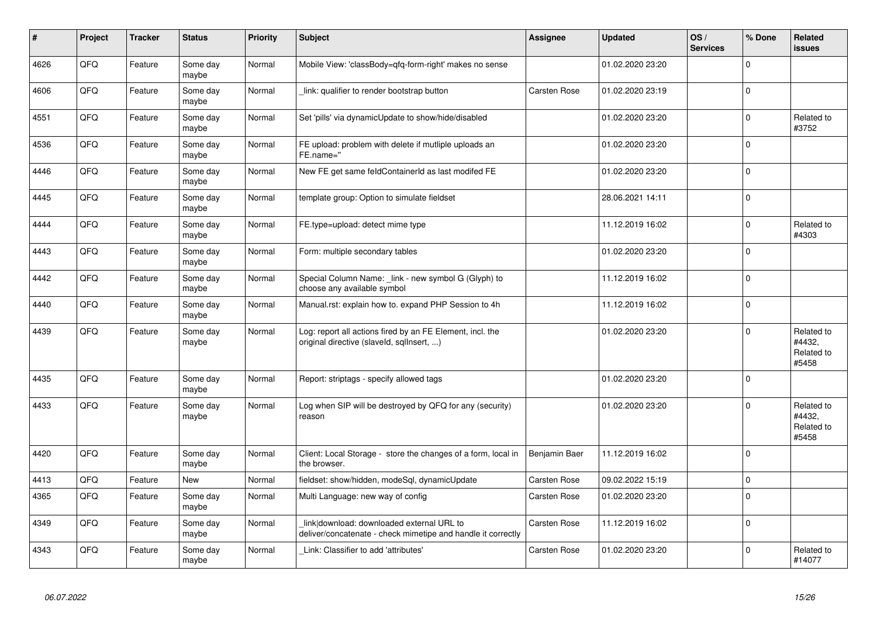| #    | Project | <b>Tracker</b> | <b>Status</b>     | <b>Priority</b> | <b>Subject</b>                                                                                            | <b>Assignee</b>     | <b>Updated</b>   | OS/<br><b>Services</b> | % Done         | Related<br><b>issues</b>                    |
|------|---------|----------------|-------------------|-----------------|-----------------------------------------------------------------------------------------------------------|---------------------|------------------|------------------------|----------------|---------------------------------------------|
| 4626 | QFQ     | Feature        | Some day<br>maybe | Normal          | Mobile View: 'classBody=qfq-form-right' makes no sense                                                    |                     | 01.02.2020 23:20 |                        | $\mathbf 0$    |                                             |
| 4606 | QFQ     | Feature        | Some day<br>maybe | Normal          | link: qualifier to render bootstrap button                                                                | <b>Carsten Rose</b> | 01.02.2020 23:19 |                        | $\pmb{0}$      |                                             |
| 4551 | QFQ     | Feature        | Some day<br>maybe | Normal          | Set 'pills' via dynamicUpdate to show/hide/disabled                                                       |                     | 01.02.2020 23:20 |                        | 0              | Related to<br>#3752                         |
| 4536 | QFQ     | Feature        | Some day<br>maybe | Normal          | FE upload: problem with delete if mutliple uploads an<br>FE.name="                                        |                     | 01.02.2020 23:20 |                        | $\mathbf 0$    |                                             |
| 4446 | QFQ     | Feature        | Some day<br>maybe | Normal          | New FE get same feldContainerId as last modifed FE                                                        |                     | 01.02.2020 23:20 |                        | $\mathbf 0$    |                                             |
| 4445 | QFQ     | Feature        | Some day<br>maybe | Normal          | template group: Option to simulate fieldset                                                               |                     | 28.06.2021 14:11 |                        | $\mathbf 0$    |                                             |
| 4444 | QFQ     | Feature        | Some day<br>maybe | Normal          | FE.type=upload: detect mime type                                                                          |                     | 11.12.2019 16:02 |                        | $\mathbf{0}$   | Related to<br>#4303                         |
| 4443 | QFQ     | Feature        | Some day<br>maybe | Normal          | Form: multiple secondary tables                                                                           |                     | 01.02.2020 23:20 |                        | $\Omega$       |                                             |
| 4442 | QFQ     | Feature        | Some day<br>maybe | Normal          | Special Column Name: link - new symbol G (Glyph) to<br>choose any available symbol                        |                     | 11.12.2019 16:02 |                        | $\pmb{0}$      |                                             |
| 4440 | QFQ     | Feature        | Some day<br>maybe | Normal          | Manual.rst: explain how to. expand PHP Session to 4h                                                      |                     | 11.12.2019 16:02 |                        | $\mathbf{0}$   |                                             |
| 4439 | QFQ     | Feature        | Some day<br>maybe | Normal          | Log: report all actions fired by an FE Element, incl. the<br>original directive (slaveld, sqllnsert, )    |                     | 01.02.2020 23:20 |                        | $\pmb{0}$      | Related to<br>#4432.<br>Related to<br>#5458 |
| 4435 | QFQ     | Feature        | Some day<br>maybe | Normal          | Report: striptags - specify allowed tags                                                                  |                     | 01.02.2020 23:20 |                        | $\mathbf 0$    |                                             |
| 4433 | QFQ     | Feature        | Some day<br>maybe | Normal          | Log when SIP will be destroyed by QFQ for any (security)<br>reason                                        |                     | 01.02.2020 23:20 |                        | $\mathbf 0$    | Related to<br>#4432,<br>Related to<br>#5458 |
| 4420 | QFQ     | Feature        | Some day<br>maybe | Normal          | Client: Local Storage - store the changes of a form, local in<br>the browser.                             | Benjamin Baer       | 11.12.2019 16:02 |                        | $\overline{0}$ |                                             |
| 4413 | QFQ     | Feature        | New               | Normal          | fieldset: show/hidden, modeSql, dynamicUpdate                                                             | Carsten Rose        | 09.02.2022 15:19 |                        | $\pmb{0}$      |                                             |
| 4365 | QFQ     | Feature        | Some day<br>maybe | Normal          | Multi Language: new way of config                                                                         | <b>Carsten Rose</b> | 01.02.2020 23:20 |                        | $\pmb{0}$      |                                             |
| 4349 | QFQ     | Feature        | Some day<br>maybe | Normal          | link download: downloaded external URL to<br>deliver/concatenate - check mimetipe and handle it correctly | Carsten Rose        | 11.12.2019 16:02 |                        | $\pmb{0}$      |                                             |
| 4343 | QFQ     | Feature        | Some day<br>maybe | Normal          | Link: Classifier to add 'attributes'                                                                      | <b>Carsten Rose</b> | 01.02.2020 23:20 |                        | $\mathbf 0$    | Related to<br>#14077                        |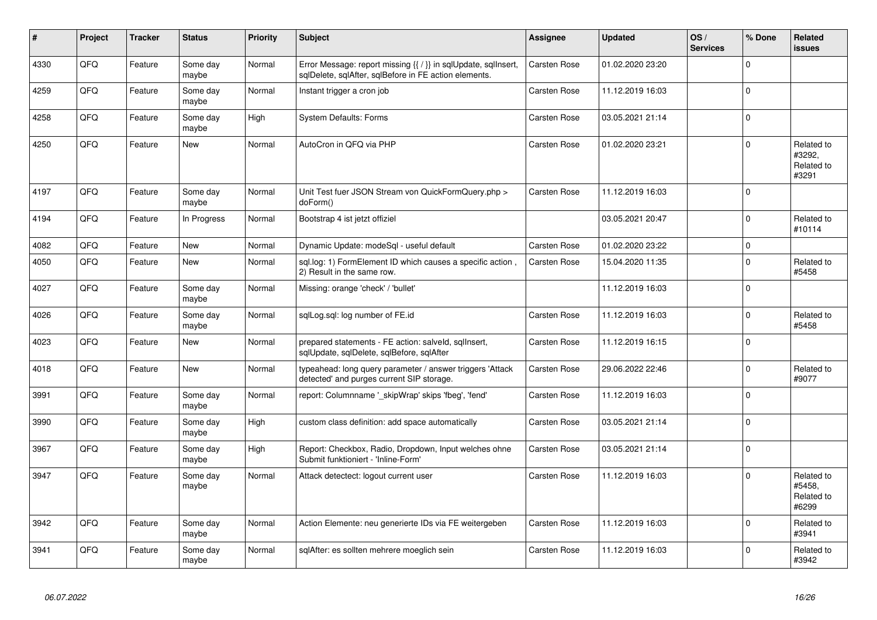| #    | Project | <b>Tracker</b> | <b>Status</b>     | <b>Priority</b> | <b>Subject</b>                                                                                                          | Assignee            | <b>Updated</b>   | OS/<br><b>Services</b> | % Done       | Related<br>issues                           |
|------|---------|----------------|-------------------|-----------------|-------------------------------------------------------------------------------------------------------------------------|---------------------|------------------|------------------------|--------------|---------------------------------------------|
| 4330 | QFQ     | Feature        | Some day<br>maybe | Normal          | Error Message: report missing {{ / }} in sqlUpdate, sqlInsert,<br>sqlDelete, sqlAfter, sqlBefore in FE action elements. | <b>Carsten Rose</b> | 01.02.2020 23:20 |                        | $\pmb{0}$    |                                             |
| 4259 | QFQ     | Feature        | Some dav<br>maybe | Normal          | Instant trigger a cron job                                                                                              | <b>Carsten Rose</b> | 11.12.2019 16:03 |                        | $\mathbf{0}$ |                                             |
| 4258 | QFQ     | Feature        | Some day<br>maybe | High            | <b>System Defaults: Forms</b>                                                                                           | Carsten Rose        | 03.05.2021 21:14 |                        | $\pmb{0}$    |                                             |
| 4250 | QFQ     | Feature        | New               | Normal          | AutoCron in QFQ via PHP                                                                                                 | Carsten Rose        | 01.02.2020 23:21 |                        | $\mathbf{0}$ | Related to<br>#3292.<br>Related to<br>#3291 |
| 4197 | QFQ     | Feature        | Some dav<br>maybe | Normal          | Unit Test fuer JSON Stream von QuickFormQuery.php ><br>doForm()                                                         | Carsten Rose        | 11.12.2019 16:03 |                        | $\mathbf 0$  |                                             |
| 4194 | QFQ     | Feature        | In Progress       | Normal          | Bootstrap 4 ist jetzt offiziel                                                                                          |                     | 03.05.2021 20:47 |                        | $\mathbf 0$  | Related to<br>#10114                        |
| 4082 | QFQ     | Feature        | <b>New</b>        | Normal          | Dynamic Update: modeSql - useful default                                                                                | Carsten Rose        | 01.02.2020 23:22 |                        | $\mathbf{0}$ |                                             |
| 4050 | QFQ     | Feature        | New               | Normal          | sql.log: 1) FormElement ID which causes a specific action,<br>2) Result in the same row.                                | <b>Carsten Rose</b> | 15.04.2020 11:35 |                        | $\pmb{0}$    | Related to<br>#5458                         |
| 4027 | QFQ     | Feature        | Some day<br>maybe | Normal          | Missing: orange 'check' / 'bullet'                                                                                      |                     | 11.12.2019 16:03 |                        | $\mathbf{0}$ |                                             |
| 4026 | QFQ     | Feature        | Some day<br>maybe | Normal          | sqlLog.sql: log number of FE.id                                                                                         | <b>Carsten Rose</b> | 11.12.2019 16:03 |                        | $\mathbf 0$  | Related to<br>#5458                         |
| 4023 | QFQ     | Feature        | New               | Normal          | prepared statements - FE action: salveld, sqllnsert,<br>sqlUpdate, sqlDelete, sqlBefore, sqlAfter                       | Carsten Rose        | 11.12.2019 16:15 |                        | $\pmb{0}$    |                                             |
| 4018 | QFQ     | Feature        | <b>New</b>        | Normal          | typeahead: long query parameter / answer triggers 'Attack<br>detected' and purges current SIP storage.                  | Carsten Rose        | 29.06.2022 22:46 |                        | $\pmb{0}$    | Related to<br>#9077                         |
| 3991 | QFQ     | Feature        | Some day<br>maybe | Normal          | report: Columnname ' skipWrap' skips 'fbeg', 'fend'                                                                     | <b>Carsten Rose</b> | 11.12.2019 16:03 |                        | $\mathbf 0$  |                                             |
| 3990 | QFQ     | Feature        | Some day<br>maybe | High            | custom class definition: add space automatically                                                                        | <b>Carsten Rose</b> | 03.05.2021 21:14 |                        | $\pmb{0}$    |                                             |
| 3967 | QFQ     | Feature        | Some day<br>maybe | High            | Report: Checkbox, Radio, Dropdown, Input welches ohne<br>Submit funktioniert - 'Inline-Form'                            | Carsten Rose        | 03.05.2021 21:14 |                        | $\pmb{0}$    |                                             |
| 3947 | QFQ     | Feature        | Some day<br>maybe | Normal          | Attack detectect: logout current user                                                                                   | <b>Carsten Rose</b> | 11.12.2019 16:03 |                        | $\Omega$     | Related to<br>#5458.<br>Related to<br>#6299 |
| 3942 | QFQ     | Feature        | Some day<br>maybe | Normal          | Action Elemente: neu generierte IDs via FE weitergeben                                                                  | Carsten Rose        | 11.12.2019 16:03 |                        | $\pmb{0}$    | Related to<br>#3941                         |
| 3941 | QFQ     | Feature        | Some day<br>maybe | Normal          | sqlAfter: es sollten mehrere moeglich sein                                                                              | <b>Carsten Rose</b> | 11.12.2019 16:03 |                        | $\mathbf 0$  | Related to<br>#3942                         |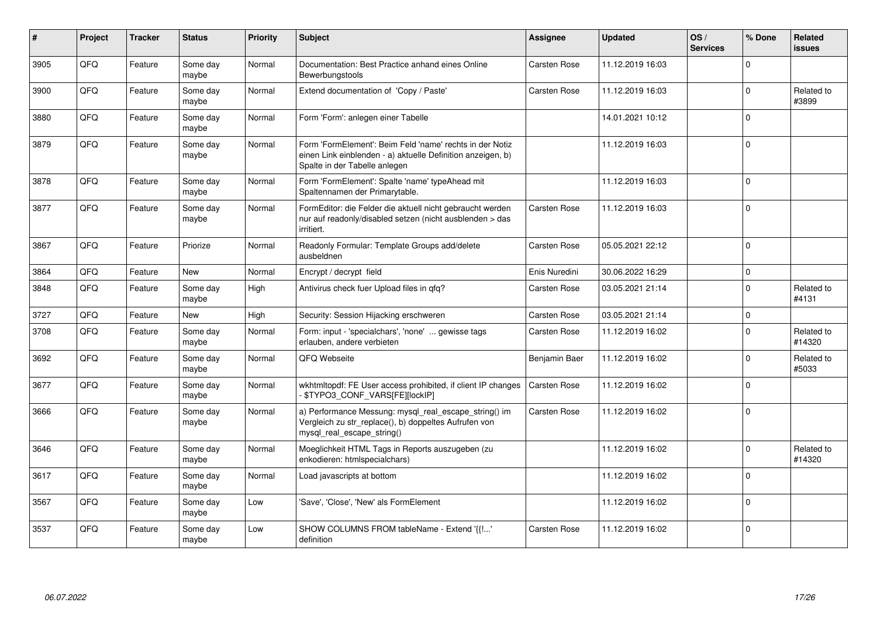| #    | Project | <b>Tracker</b> | <b>Status</b>     | Priority | Subject                                                                                                                                                  | <b>Assignee</b>     | <b>Updated</b>   | OS/<br><b>Services</b> | % Done       | <b>Related</b><br><b>issues</b> |
|------|---------|----------------|-------------------|----------|----------------------------------------------------------------------------------------------------------------------------------------------------------|---------------------|------------------|------------------------|--------------|---------------------------------|
| 3905 | QFQ     | Feature        | Some day<br>maybe | Normal   | Documentation: Best Practice anhand eines Online<br>Bewerbungstools                                                                                      | <b>Carsten Rose</b> | 11.12.2019 16:03 |                        | $\Omega$     |                                 |
| 3900 | QFQ     | Feature        | Some day<br>maybe | Normal   | Extend documentation of 'Copy / Paste'                                                                                                                   | <b>Carsten Rose</b> | 11.12.2019 16:03 |                        | $\mathbf 0$  | Related to<br>#3899             |
| 3880 | QFQ     | Feature        | Some day<br>maybe | Normal   | Form 'Form': anlegen einer Tabelle                                                                                                                       |                     | 14.01.2021 10:12 |                        | $\Omega$     |                                 |
| 3879 | QFQ     | Feature        | Some day<br>maybe | Normal   | Form 'FormElement': Beim Feld 'name' rechts in der Notiz<br>einen Link einblenden - a) aktuelle Definition anzeigen, b)<br>Spalte in der Tabelle anlegen |                     | 11.12.2019 16:03 |                        | $\Omega$     |                                 |
| 3878 | QFQ     | Feature        | Some day<br>maybe | Normal   | Form 'FormElement': Spalte 'name' typeAhead mit<br>Spaltennamen der Primarytable.                                                                        |                     | 11.12.2019 16:03 |                        | $\mathbf{0}$ |                                 |
| 3877 | QFQ     | Feature        | Some day<br>maybe | Normal   | FormEditor: die Felder die aktuell nicht gebraucht werden<br>nur auf readonly/disabled setzen (nicht ausblenden > das<br>irritiert.                      | <b>Carsten Rose</b> | 11.12.2019 16:03 |                        | $\mathbf 0$  |                                 |
| 3867 | QFQ     | Feature        | Priorize          | Normal   | Readonly Formular: Template Groups add/delete<br>ausbeldnen                                                                                              | Carsten Rose        | 05.05.2021 22:12 |                        | $\Omega$     |                                 |
| 3864 | QFQ     | Feature        | New               | Normal   | Encrypt / decrypt field                                                                                                                                  | Enis Nuredini       | 30.06.2022 16:29 |                        | $\mathbf 0$  |                                 |
| 3848 | QFQ     | Feature        | Some day<br>maybe | High     | Antivirus check fuer Upload files in qfq?                                                                                                                | <b>Carsten Rose</b> | 03.05.2021 21:14 |                        | $\mathbf 0$  | Related to<br>#4131             |
| 3727 | QFQ     | Feature        | <b>New</b>        | High     | Security: Session Hijacking erschweren                                                                                                                   | Carsten Rose        | 03.05.2021 21:14 |                        | $\mathbf 0$  |                                 |
| 3708 | QFQ     | Feature        | Some dav<br>maybe | Normal   | Form: input - 'specialchars', 'none'  gewisse tags<br>erlauben, andere verbieten                                                                         | Carsten Rose        | 11.12.2019 16:02 |                        | $\mathbf 0$  | Related to<br>#14320            |
| 3692 | QFQ     | Feature        | Some day<br>maybe | Normal   | QFQ Webseite                                                                                                                                             | Benjamin Baer       | 11.12.2019 16:02 |                        | $\mathbf 0$  | Related to<br>#5033             |
| 3677 | QFQ     | Feature        | Some dav<br>maybe | Normal   | wkhtmltopdf: FE User access prohibited, if client IP changes<br>- \$TYPO3_CONF_VARS[FE][lockIP]                                                          | Carsten Rose        | 11.12.2019 16:02 |                        | $\mathbf 0$  |                                 |
| 3666 | QFQ     | Feature        | Some day<br>maybe | Normal   | a) Performance Messung: mysql_real_escape_string() im<br>Vergleich zu str_replace(), b) doppeltes Aufrufen von<br>mysql real escape string()             | <b>Carsten Rose</b> | 11.12.2019 16:02 |                        | $\Omega$     |                                 |
| 3646 | QFQ     | Feature        | Some day<br>maybe | Normal   | Moeglichkeit HTML Tags in Reports auszugeben (zu<br>enkodieren: htmlspecialchars)                                                                        |                     | 11.12.2019 16:02 |                        | $\mathbf 0$  | Related to<br>#14320            |
| 3617 | QFQ     | Feature        | Some dav<br>maybe | Normal   | Load javascripts at bottom                                                                                                                               |                     | 11.12.2019 16:02 |                        | $\Omega$     |                                 |
| 3567 | QFQ     | Feature        | Some day<br>maybe | Low      | 'Save', 'Close', 'New' als FormElement                                                                                                                   |                     | 11.12.2019 16:02 |                        | $\Omega$     |                                 |
| 3537 | QFQ     | Feature        | Some day<br>maybe | Low      | SHOW COLUMNS FROM tableName - Extend '{{!'<br>definition                                                                                                 | Carsten Rose        | 11.12.2019 16:02 |                        | $\mathbf{0}$ |                                 |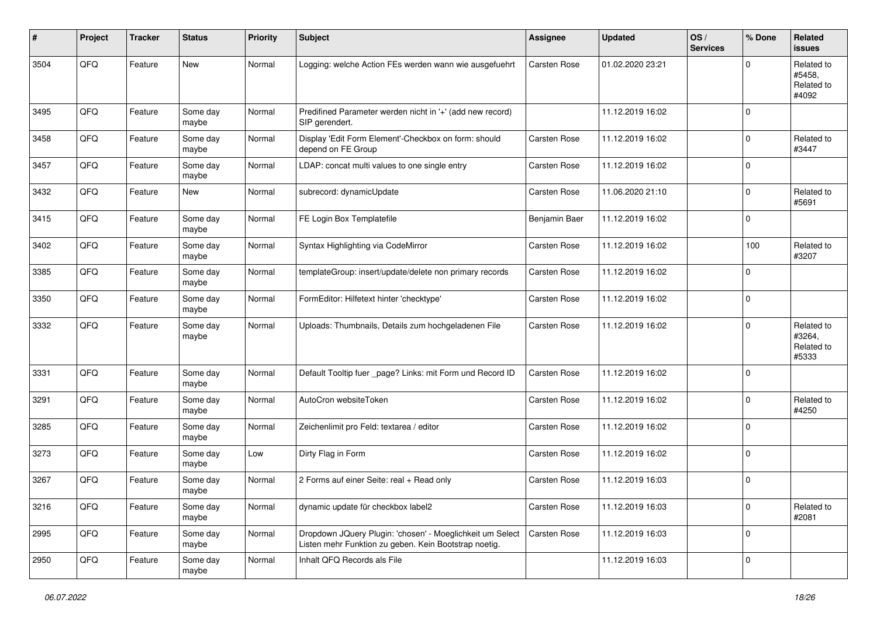| #    | Project | <b>Tracker</b> | <b>Status</b>     | <b>Priority</b> | <b>Subject</b>                                                                                                     | Assignee      | <b>Updated</b>   | OS/<br><b>Services</b> | % Done      | Related<br><b>issues</b>                    |
|------|---------|----------------|-------------------|-----------------|--------------------------------------------------------------------------------------------------------------------|---------------|------------------|------------------------|-------------|---------------------------------------------|
| 3504 | QFQ     | Feature        | <b>New</b>        | Normal          | Logging: welche Action FEs werden wann wie ausgefuehrt                                                             | Carsten Rose  | 01.02.2020 23:21 |                        | $\Omega$    | Related to<br>#5458,<br>Related to<br>#4092 |
| 3495 | QFQ     | Feature        | Some day<br>maybe | Normal          | Predifined Parameter werden nicht in '+' (add new record)<br>SIP gerendert.                                        |               | 11.12.2019 16:02 |                        | $\Omega$    |                                             |
| 3458 | QFQ     | Feature        | Some day<br>maybe | Normal          | Display 'Edit Form Element'-Checkbox on form: should<br>depend on FE Group                                         | Carsten Rose  | 11.12.2019 16:02 |                        | $\Omega$    | Related to<br>#3447                         |
| 3457 | QFQ     | Feature        | Some day<br>maybe | Normal          | LDAP: concat multi values to one single entry                                                                      | Carsten Rose  | 11.12.2019 16:02 |                        | $\Omega$    |                                             |
| 3432 | QFQ     | Feature        | New               | Normal          | subrecord: dynamicUpdate                                                                                           | Carsten Rose  | 11.06.2020 21:10 |                        | $\Omega$    | Related to<br>#5691                         |
| 3415 | QFQ     | Feature        | Some day<br>maybe | Normal          | FE Login Box Templatefile                                                                                          | Benjamin Baer | 11.12.2019 16:02 |                        | $\Omega$    |                                             |
| 3402 | QFQ     | Feature        | Some day<br>maybe | Normal          | Syntax Highlighting via CodeMirror                                                                                 | Carsten Rose  | 11.12.2019 16:02 |                        | 100         | Related to<br>#3207                         |
| 3385 | QFQ     | Feature        | Some day<br>maybe | Normal          | templateGroup: insert/update/delete non primary records                                                            | Carsten Rose  | 11.12.2019 16:02 |                        | $\Omega$    |                                             |
| 3350 | QFQ     | Feature        | Some day<br>maybe | Normal          | FormEditor: Hilfetext hinter 'checktype'                                                                           | Carsten Rose  | 11.12.2019 16:02 |                        | $\Omega$    |                                             |
| 3332 | QFQ     | Feature        | Some day<br>maybe | Normal          | Uploads: Thumbnails, Details zum hochgeladenen File                                                                | Carsten Rose  | 11.12.2019 16:02 |                        | $\Omega$    | Related to<br>#3264,<br>Related to<br>#5333 |
| 3331 | QFQ     | Feature        | Some day<br>maybe | Normal          | Default Tooltip fuer _page? Links: mit Form und Record ID                                                          | Carsten Rose  | 11.12.2019 16:02 |                        | $\Omega$    |                                             |
| 3291 | QFQ     | Feature        | Some day<br>maybe | Normal          | AutoCron websiteToken                                                                                              | Carsten Rose  | 11.12.2019 16:02 |                        | $\mathbf 0$ | Related to<br>#4250                         |
| 3285 | QFQ     | Feature        | Some day<br>maybe | Normal          | Zeichenlimit pro Feld: textarea / editor                                                                           | Carsten Rose  | 11.12.2019 16:02 |                        | $\Omega$    |                                             |
| 3273 | QFQ     | Feature        | Some day<br>maybe | Low             | Dirty Flag in Form                                                                                                 | Carsten Rose  | 11.12.2019 16:02 |                        | $\mathbf 0$ |                                             |
| 3267 | QFQ     | Feature        | Some day<br>maybe | Normal          | 2 Forms auf einer Seite: real + Read only                                                                          | Carsten Rose  | 11.12.2019 16:03 |                        | $\Omega$    |                                             |
| 3216 | QFQ     | Feature        | Some day<br>maybe | Normal          | dynamic update für checkbox label2                                                                                 | Carsten Rose  | 11.12.2019 16:03 |                        | $\pmb{0}$   | Related to<br>#2081                         |
| 2995 | QFQ     | Feature        | Some day<br>maybe | Normal          | Dropdown JQuery Plugin: 'chosen' - Moeglichkeit um Select<br>Listen mehr Funktion zu geben. Kein Bootstrap noetig. | Carsten Rose  | 11.12.2019 16:03 |                        | 0           |                                             |
| 2950 | QFQ     | Feature        | Some day<br>maybe | Normal          | Inhalt QFQ Records als File                                                                                        |               | 11.12.2019 16:03 |                        | 0           |                                             |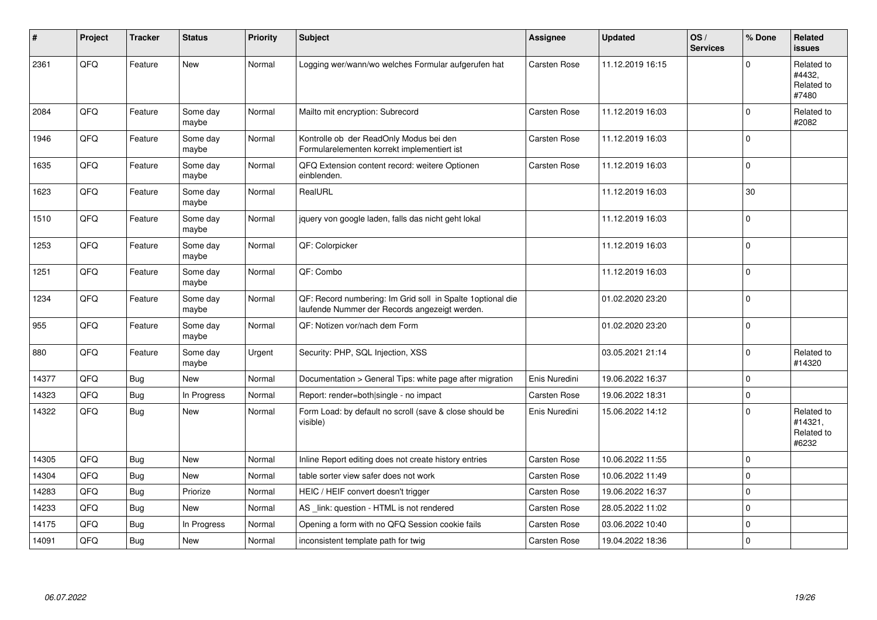| #     | Project | <b>Tracker</b> | <b>Status</b>     | <b>Priority</b> | <b>Subject</b>                                                                                               | <b>Assignee</b>     | <b>Updated</b>   | OS/<br><b>Services</b> | % Done       | Related<br>issues                            |
|-------|---------|----------------|-------------------|-----------------|--------------------------------------------------------------------------------------------------------------|---------------------|------------------|------------------------|--------------|----------------------------------------------|
| 2361  | QFQ     | Feature        | New               | Normal          | Logging wer/wann/wo welches Formular aufgerufen hat                                                          | Carsten Rose        | 11.12.2019 16:15 |                        | $\Omega$     | Related to<br>#4432,<br>Related to<br>#7480  |
| 2084  | QFQ     | Feature        | Some day<br>maybe | Normal          | Mailto mit encryption: Subrecord                                                                             | Carsten Rose        | 11.12.2019 16:03 |                        | $\mathbf 0$  | Related to<br>#2082                          |
| 1946  | QFQ     | Feature        | Some day<br>maybe | Normal          | Kontrolle ob der ReadOnly Modus bei den<br>Formularelementen korrekt implementiert ist                       | Carsten Rose        | 11.12.2019 16:03 |                        | $\mathbf 0$  |                                              |
| 1635  | QFQ     | Feature        | Some day<br>maybe | Normal          | QFQ Extension content record: weitere Optionen<br>einblenden.                                                | Carsten Rose        | 11.12.2019 16:03 |                        | $\pmb{0}$    |                                              |
| 1623  | QFQ     | Feature        | Some day<br>maybe | Normal          | RealURL                                                                                                      |                     | 11.12.2019 16:03 |                        | 30           |                                              |
| 1510  | QFQ     | Feature        | Some day<br>maybe | Normal          | jquery von google laden, falls das nicht geht lokal                                                          |                     | 11.12.2019 16:03 |                        | $\mathbf{0}$ |                                              |
| 1253  | QFQ     | Feature        | Some day<br>maybe | Normal          | QF: Colorpicker                                                                                              |                     | 11.12.2019 16:03 |                        | $\mathbf 0$  |                                              |
| 1251  | QFQ     | Feature        | Some day<br>maybe | Normal          | QF: Combo                                                                                                    |                     | 11.12.2019 16:03 |                        | $\mathbf 0$  |                                              |
| 1234  | QFQ     | Feature        | Some day<br>maybe | Normal          | QF: Record numbering: Im Grid soll in Spalte 1 optional die<br>laufende Nummer der Records angezeigt werden. |                     | 01.02.2020 23:20 |                        | $\pmb{0}$    |                                              |
| 955   | QFG     | Feature        | Some day<br>maybe | Normal          | QF: Notizen vor/nach dem Form                                                                                |                     | 01.02.2020 23:20 |                        | $\pmb{0}$    |                                              |
| 880   | QFQ     | Feature        | Some day<br>maybe | Urgent          | Security: PHP, SQL Injection, XSS                                                                            |                     | 03.05.2021 21:14 |                        | $\mathbf 0$  | Related to<br>#14320                         |
| 14377 | QFQ     | Bug            | <b>New</b>        | Normal          | Documentation > General Tips: white page after migration                                                     | Enis Nuredini       | 19.06.2022 16:37 |                        | $\pmb{0}$    |                                              |
| 14323 | QFQ     | Bug            | In Progress       | Normal          | Report: render=both single - no impact                                                                       | Carsten Rose        | 19.06.2022 18:31 |                        | $\pmb{0}$    |                                              |
| 14322 | QFQ     | Bug            | New               | Normal          | Form Load: by default no scroll (save & close should be<br>visible)                                          | Enis Nuredini       | 15.06.2022 14:12 |                        | $\mathbf 0$  | Related to<br>#14321,<br>Related to<br>#6232 |
| 14305 | QFQ     | Bug            | <b>New</b>        | Normal          | Inline Report editing does not create history entries                                                        | <b>Carsten Rose</b> | 10.06.2022 11:55 |                        | $\mathbf 0$  |                                              |
| 14304 | QFQ     | Bug            | New               | Normal          | table sorter view safer does not work                                                                        | <b>Carsten Rose</b> | 10.06.2022 11:49 |                        | $\mathbf 0$  |                                              |
| 14283 | QFQ     | <b>Bug</b>     | Priorize          | Normal          | HEIC / HEIF convert doesn't trigger                                                                          | <b>Carsten Rose</b> | 19.06.2022 16:37 |                        | $\mathbf{0}$ |                                              |
| 14233 | QFQ     | Bug            | <b>New</b>        | Normal          | AS _link: question - HTML is not rendered                                                                    | Carsten Rose        | 28.05.2022 11:02 |                        | $\mathbf{0}$ |                                              |
| 14175 | QFQ     | Bug            | In Progress       | Normal          | Opening a form with no QFQ Session cookie fails                                                              | <b>Carsten Rose</b> | 03.06.2022 10:40 |                        | $\pmb{0}$    |                                              |
| 14091 | QFQ     | Bug            | New               | Normal          | inconsistent template path for twig                                                                          | <b>Carsten Rose</b> | 19.04.2022 18:36 |                        | $\mathbf 0$  |                                              |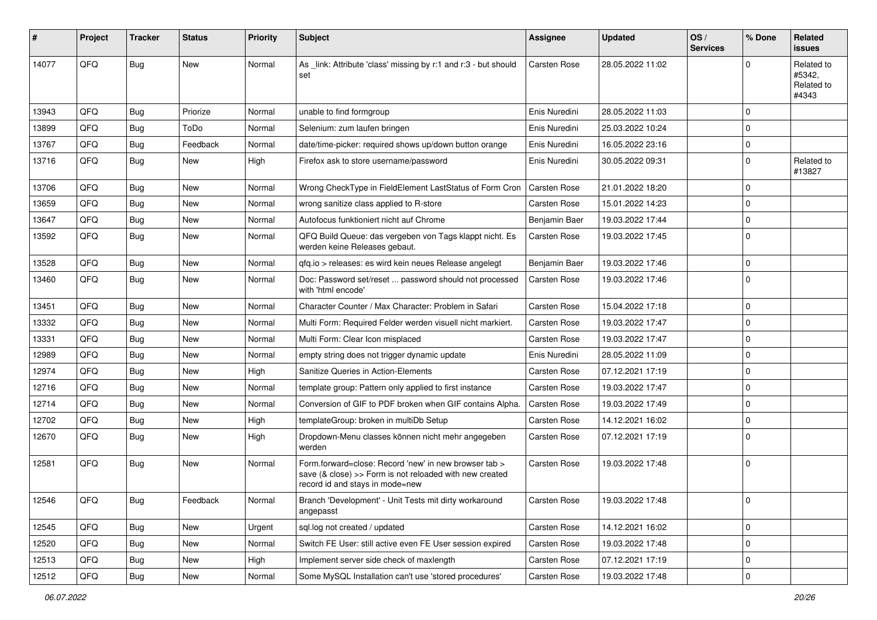| ∦     | Project | <b>Tracker</b> | <b>Status</b> | <b>Priority</b> | <b>Subject</b>                                                                                                                                      | <b>Assignee</b>     | <b>Updated</b>   | OS/<br><b>Services</b> | % Done      | Related<br><b>issues</b>                    |
|-------|---------|----------------|---------------|-----------------|-----------------------------------------------------------------------------------------------------------------------------------------------------|---------------------|------------------|------------------------|-------------|---------------------------------------------|
| 14077 | QFQ     | Bug            | <b>New</b>    | Normal          | As _link: Attribute 'class' missing by r:1 and r:3 - but should<br>set                                                                              | Carsten Rose        | 28.05.2022 11:02 |                        | $\Omega$    | Related to<br>#5342,<br>Related to<br>#4343 |
| 13943 | QFQ     | Bug            | Priorize      | Normal          | unable to find formgroup                                                                                                                            | Enis Nuredini       | 28.05.2022 11:03 |                        | $\mathbf 0$ |                                             |
| 13899 | QFQ     | <b>Bug</b>     | ToDo          | Normal          | Selenium: zum laufen bringen                                                                                                                        | Enis Nuredini       | 25.03.2022 10:24 |                        | $\mathbf 0$ |                                             |
| 13767 | QFQ     | <b>Bug</b>     | Feedback      | Normal          | date/time-picker: required shows up/down button orange                                                                                              | Enis Nuredini       | 16.05.2022 23:16 |                        | $\mathbf 0$ |                                             |
| 13716 | QFQ     | Bug            | <b>New</b>    | High            | Firefox ask to store username/password                                                                                                              | Enis Nuredini       | 30.05.2022 09:31 |                        | $\Omega$    | Related to<br>#13827                        |
| 13706 | QFQ     | <b>Bug</b>     | <b>New</b>    | Normal          | Wrong CheckType in FieldElement LastStatus of Form Cron                                                                                             | <b>Carsten Rose</b> | 21.01.2022 18:20 |                        | $\mathbf 0$ |                                             |
| 13659 | QFQ     | <b>Bug</b>     | <b>New</b>    | Normal          | wrong sanitize class applied to R-store                                                                                                             | <b>Carsten Rose</b> | 15.01.2022 14:23 |                        | $\mathbf 0$ |                                             |
| 13647 | QFQ     | <b>Bug</b>     | <b>New</b>    | Normal          | Autofocus funktioniert nicht auf Chrome                                                                                                             | Benjamin Baer       | 19.03.2022 17:44 |                        | $\mathbf 0$ |                                             |
| 13592 | QFQ     | Bug            | New           | Normal          | QFQ Build Queue: das vergeben von Tags klappt nicht. Es<br>werden keine Releases gebaut.                                                            | Carsten Rose        | 19.03.2022 17:45 |                        | $\mathbf 0$ |                                             |
| 13528 | QFQ     | <b>Bug</b>     | <b>New</b>    | Normal          | gfg.io > releases: es wird kein neues Release angelegt                                                                                              | Benjamin Baer       | 19.03.2022 17:46 |                        | $\mathbf 0$ |                                             |
| 13460 | QFQ     | Bug            | New           | Normal          | Doc: Password set/reset  password should not processed<br>with 'html encode'                                                                        | Carsten Rose        | 19.03.2022 17:46 |                        | $\Omega$    |                                             |
| 13451 | QFQ     | Bug            | <b>New</b>    | Normal          | Character Counter / Max Character: Problem in Safari                                                                                                | <b>Carsten Rose</b> | 15.04.2022 17:18 |                        | $\mathbf 0$ |                                             |
| 13332 | QFQ     | <b>Bug</b>     | <b>New</b>    | Normal          | Multi Form: Required Felder werden visuell nicht markiert.                                                                                          | <b>Carsten Rose</b> | 19.03.2022 17:47 |                        | $\mathbf 0$ |                                             |
| 13331 | QFQ     | Bug            | <b>New</b>    | Normal          | Multi Form: Clear Icon misplaced                                                                                                                    | <b>Carsten Rose</b> | 19.03.2022 17:47 |                        | $\mathbf 0$ |                                             |
| 12989 | QFQ     | <b>Bug</b>     | <b>New</b>    | Normal          | empty string does not trigger dynamic update                                                                                                        | Enis Nuredini       | 28.05.2022 11:09 |                        | $\mathbf 0$ |                                             |
| 12974 | QFQ     | <b>Bug</b>     | <b>New</b>    | High            | Sanitize Queries in Action-Elements                                                                                                                 | Carsten Rose        | 07.12.2021 17:19 |                        | $\mathbf 0$ |                                             |
| 12716 | QFQ     | <b>Bug</b>     | New           | Normal          | template group: Pattern only applied to first instance                                                                                              | <b>Carsten Rose</b> | 19.03.2022 17:47 |                        | $\mathbf 0$ |                                             |
| 12714 | QFQ     | <b>Bug</b>     | <b>New</b>    | Normal          | Conversion of GIF to PDF broken when GIF contains Alpha.                                                                                            | <b>Carsten Rose</b> | 19.03.2022 17:49 |                        | $\mathbf 0$ |                                             |
| 12702 | QFQ     | <b>Bug</b>     | <b>New</b>    | High            | templateGroup: broken in multiDb Setup                                                                                                              | <b>Carsten Rose</b> | 14.12.2021 16:02 |                        | $\mathbf 0$ |                                             |
| 12670 | QFQ     | Bug            | New           | High            | Dropdown-Menu classes können nicht mehr angegeben<br>werden                                                                                         | Carsten Rose        | 07.12.2021 17:19 |                        | $\Omega$    |                                             |
| 12581 | QFQ     | Bug            | <b>New</b>    | Normal          | Form.forward=close: Record 'new' in new browser tab ><br>save (& close) >> Form is not reloaded with new created<br>record id and stays in mode=new | <b>Carsten Rose</b> | 19.03.2022 17:48 |                        | $\mathbf 0$ |                                             |
| 12546 | QFQ     | <b>Bug</b>     | Feedback      | Normal          | Branch 'Development' - Unit Tests mit dirty workaround<br>angepasst                                                                                 | <b>Carsten Rose</b> | 19.03.2022 17:48 |                        | 0           |                                             |
| 12545 | QFQ     | Bug            | New           | Urgent          | sql.log not created / updated                                                                                                                       | Carsten Rose        | 14.12.2021 16:02 |                        | $\mathbf 0$ |                                             |
| 12520 | QFQ     | <b>Bug</b>     | New           | Normal          | Switch FE User: still active even FE User session expired                                                                                           | Carsten Rose        | 19.03.2022 17:48 |                        | 0           |                                             |
| 12513 | QFQ     | Bug            | New           | High            | Implement server side check of maxlength                                                                                                            | Carsten Rose        | 07.12.2021 17:19 |                        | $\mathbf 0$ |                                             |
| 12512 | QFQ     | Bug            | New           | Normal          | Some MySQL Installation can't use 'stored procedures'                                                                                               | Carsten Rose        | 19.03.2022 17:48 |                        | $\pmb{0}$   |                                             |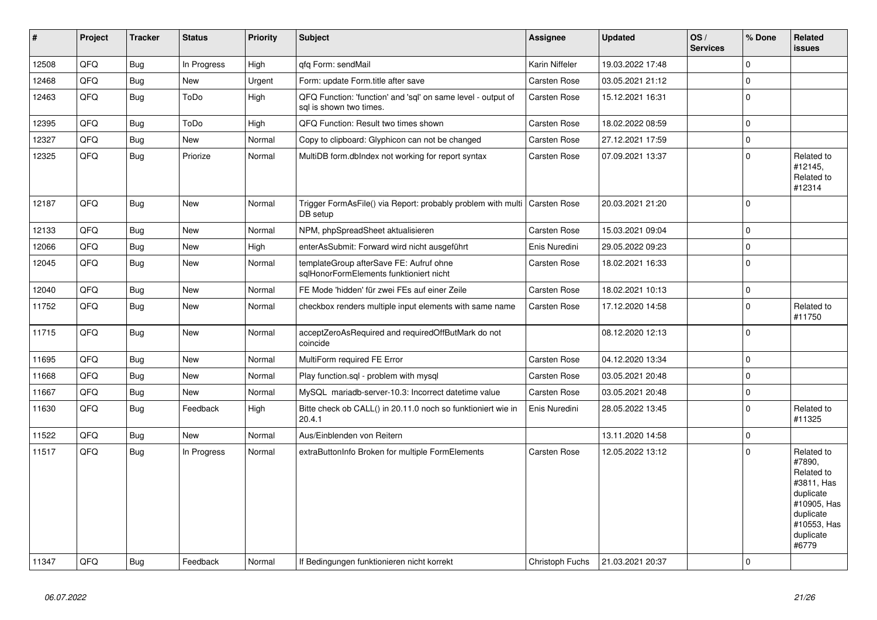| #     | Project | <b>Tracker</b> | <b>Status</b> | <b>Priority</b> | <b>Subject</b>                                                                          | Assignee            | <b>Updated</b>   | OS/<br><b>Services</b> | % Done      | Related<br><b>issues</b>                                                                                                       |
|-------|---------|----------------|---------------|-----------------|-----------------------------------------------------------------------------------------|---------------------|------------------|------------------------|-------------|--------------------------------------------------------------------------------------------------------------------------------|
| 12508 | QFQ     | Bug            | In Progress   | High            | qfq Form: sendMail                                                                      | Karin Niffeler      | 19.03.2022 17:48 |                        | $\Omega$    |                                                                                                                                |
| 12468 | QFQ     | <b>Bug</b>     | New           | Urgent          | Form: update Form.title after save                                                      | <b>Carsten Rose</b> | 03.05.2021 21:12 |                        | $\mathbf 0$ |                                                                                                                                |
| 12463 | QFQ     | Bug            | ToDo          | High            | QFQ Function: 'function' and 'sql' on same level - output of<br>sql is shown two times. | Carsten Rose        | 15.12.2021 16:31 |                        | $\pmb{0}$   |                                                                                                                                |
| 12395 | QFQ     | <b>Bug</b>     | ToDo          | High            | QFQ Function: Result two times shown                                                    | <b>Carsten Rose</b> | 18.02.2022 08:59 |                        | $\mathbf 0$ |                                                                                                                                |
| 12327 | QFQ     | Bug            | New           | Normal          | Copy to clipboard: Glyphicon can not be changed                                         | Carsten Rose        | 27.12.2021 17:59 |                        | $\pmb{0}$   |                                                                                                                                |
| 12325 | QFQ     | <b>Bug</b>     | Priorize      | Normal          | MultiDB form.dblndex not working for report syntax                                      | Carsten Rose        | 07.09.2021 13:37 |                        | $\Omega$    | Related to<br>#12145,<br>Related to<br>#12314                                                                                  |
| 12187 | QFQ     | <b>Bug</b>     | <b>New</b>    | Normal          | Trigger FormAsFile() via Report: probably problem with multi<br>DB setup                | <b>Carsten Rose</b> | 20.03.2021 21:20 |                        | $\Omega$    |                                                                                                                                |
| 12133 | QFQ     | Bug            | <b>New</b>    | Normal          | NPM, phpSpreadSheet aktualisieren                                                       | Carsten Rose        | 15.03.2021 09:04 |                        | $\mathbf 0$ |                                                                                                                                |
| 12066 | QFQ     | Bug            | <b>New</b>    | High            | enterAsSubmit: Forward wird nicht ausgeführt                                            | Enis Nuredini       | 29.05.2022 09:23 |                        | $\mathbf 0$ |                                                                                                                                |
| 12045 | QFQ     | <b>Bug</b>     | <b>New</b>    | Normal          | templateGroup afterSave FE: Aufruf ohne<br>sqlHonorFormElements funktioniert nicht      | Carsten Rose        | 18.02.2021 16:33 |                        | $\pmb{0}$   |                                                                                                                                |
| 12040 | QFQ     | <b>Bug</b>     | <b>New</b>    | Normal          | FE Mode 'hidden' für zwei FEs auf einer Zeile                                           | <b>Carsten Rose</b> | 18.02.2021 10:13 |                        | 0           |                                                                                                                                |
| 11752 | QFQ     | Bug            | <b>New</b>    | Normal          | checkbox renders multiple input elements with same name                                 | <b>Carsten Rose</b> | 17.12.2020 14:58 |                        | $\pmb{0}$   | Related to<br>#11750                                                                                                           |
| 11715 | QFQ     | <b>Bug</b>     | <b>New</b>    | Normal          | acceptZeroAsRequired and requiredOffButMark do not<br>coincide                          |                     | 08.12.2020 12:13 |                        | $\Omega$    |                                                                                                                                |
| 11695 | QFQ     | <b>Bug</b>     | <b>New</b>    | Normal          | MultiForm required FE Error                                                             | Carsten Rose        | 04.12.2020 13:34 |                        | $\pmb{0}$   |                                                                                                                                |
| 11668 | QFQ     | <b>Bug</b>     | <b>New</b>    | Normal          | Play function.sql - problem with mysql                                                  | <b>Carsten Rose</b> | 03.05.2021 20:48 |                        | $\mathbf 0$ |                                                                                                                                |
| 11667 | QFQ     | <b>Bug</b>     | New           | Normal          | MySQL mariadb-server-10.3: Incorrect datetime value                                     | <b>Carsten Rose</b> | 03.05.2021 20:48 |                        | $\pmb{0}$   |                                                                                                                                |
| 11630 | QFQ     | <b>Bug</b>     | Feedback      | High            | Bitte check ob CALL() in 20.11.0 noch so funktioniert wie in<br>20.4.1                  | Enis Nuredini       | 28.05.2022 13:45 |                        | $\pmb{0}$   | Related to<br>#11325                                                                                                           |
| 11522 | QFQ     | <b>Bug</b>     | New           | Normal          | Aus/Einblenden von Reitern                                                              |                     | 13.11.2020 14:58 |                        | $\pmb{0}$   |                                                                                                                                |
| 11517 | QFQ     | <b>Bug</b>     | In Progress   | Normal          | extraButtonInfo Broken for multiple FormElements                                        | Carsten Rose        | 12.05.2022 13:12 |                        | $\Omega$    | Related to<br>#7890,<br>Related to<br>#3811, Has<br>duplicate<br>#10905, Has<br>duplicate<br>#10553, Has<br>duplicate<br>#6779 |
| 11347 | QFQ     | Bug            | Feedback      | Normal          | If Bedingungen funktionieren nicht korrekt                                              | Christoph Fuchs     | 21.03.2021 20:37 |                        | $\Omega$    |                                                                                                                                |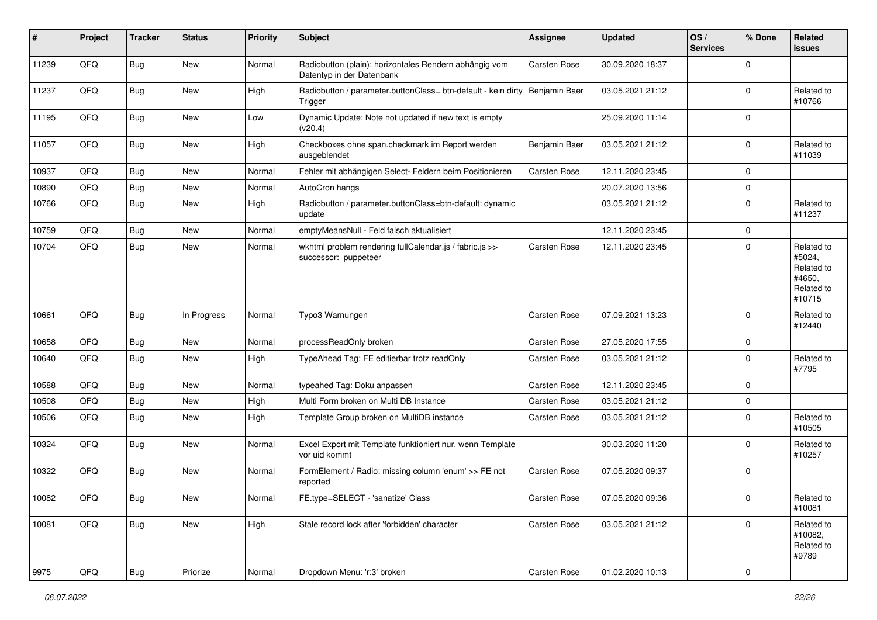| #     | Project | <b>Tracker</b> | <b>Status</b> | <b>Priority</b> | Subject                                                                                  | Assignee            | <b>Updated</b>   | OS/<br><b>Services</b> | % Done         | Related<br>issues                                                    |
|-------|---------|----------------|---------------|-----------------|------------------------------------------------------------------------------------------|---------------------|------------------|------------------------|----------------|----------------------------------------------------------------------|
| 11239 | QFQ     | Bug            | New           | Normal          | Radiobutton (plain): horizontales Rendern abhängig vom<br>Datentyp in der Datenbank      | Carsten Rose        | 30.09.2020 18:37 |                        | $\Omega$       |                                                                      |
| 11237 | QFQ     | <b>Bug</b>     | New           | High            | Radiobutton / parameter.buttonClass= btn-default - kein dirty   Benjamin Baer<br>Trigger |                     | 03.05.2021 21:12 |                        | $\mathbf 0$    | Related to<br>#10766                                                 |
| 11195 | QFQ     | <b>Bug</b>     | New           | Low             | Dynamic Update: Note not updated if new text is empty<br>(v20.4)                         |                     | 25.09.2020 11:14 |                        | $\mathbf 0$    |                                                                      |
| 11057 | QFQ     | <b>Bug</b>     | New           | High            | Checkboxes ohne span.checkmark im Report werden<br>ausgeblendet                          | Benjamin Baer       | 03.05.2021 21:12 |                        | $\mathbf 0$    | Related to<br>#11039                                                 |
| 10937 | QFQ     | <b>Bug</b>     | <b>New</b>    | Normal          | Fehler mit abhängigen Select- Feldern beim Positionieren                                 | Carsten Rose        | 12.11.2020 23:45 |                        | $\mathbf 0$    |                                                                      |
| 10890 | QFQ     | Bug            | <b>New</b>    | Normal          | AutoCron hangs                                                                           |                     | 20.07.2020 13:56 |                        | 0              |                                                                      |
| 10766 | QFQ     | <b>Bug</b>     | <b>New</b>    | High            | Radiobutton / parameter.buttonClass=btn-default: dynamic<br>update                       |                     | 03.05.2021 21:12 |                        | $\mathbf 0$    | Related to<br>#11237                                                 |
| 10759 | QFQ     | <b>Bug</b>     | New           | Normal          | emptyMeansNull - Feld falsch aktualisiert                                                |                     | 12.11.2020 23:45 |                        | $\mathbf 0$    |                                                                      |
| 10704 | QFQ     | Bug            | New           | Normal          | wkhtml problem rendering fullCalendar.js / fabric.js >><br>successor: puppeteer          | Carsten Rose        | 12.11.2020 23:45 |                        | $\mathbf 0$    | Related to<br>#5024,<br>Related to<br>#4650,<br>Related to<br>#10715 |
| 10661 | QFQ     | Bug            | In Progress   | Normal          | Typo3 Warnungen                                                                          | Carsten Rose        | 07.09.2021 13:23 |                        | $\Omega$       | Related to<br>#12440                                                 |
| 10658 | QFQ     | <b>Bug</b>     | <b>New</b>    | Normal          | processReadOnly broken                                                                   | Carsten Rose        | 27.05.2020 17:55 |                        | $\mathbf 0$    |                                                                      |
| 10640 | QFQ     | <b>Bug</b>     | <b>New</b>    | High            | TypeAhead Tag: FE editierbar trotz readOnly                                              | Carsten Rose        | 03.05.2021 21:12 |                        | $\Omega$       | Related to<br>#7795                                                  |
| 10588 | QFQ     | <b>Bug</b>     | <b>New</b>    | Normal          | typeahed Tag: Doku anpassen                                                              | Carsten Rose        | 12.11.2020 23:45 |                        | $\Omega$       |                                                                      |
| 10508 | QFQ     | <b>Bug</b>     | <b>New</b>    | High            | Multi Form broken on Multi DB Instance                                                   | Carsten Rose        | 03.05.2021 21:12 |                        | $\mathbf 0$    |                                                                      |
| 10506 | QFQ     | <b>Bug</b>     | <b>New</b>    | High            | Template Group broken on MultiDB instance                                                | Carsten Rose        | 03.05.2021 21:12 |                        | $\mathbf 0$    | Related to<br>#10505                                                 |
| 10324 | QFQ     | <b>Bug</b>     | New           | Normal          | Excel Export mit Template funktioniert nur, wenn Template<br>vor uid kommt               |                     | 30.03.2020 11:20 |                        | $\mathbf 0$    | Related to<br>#10257                                                 |
| 10322 | QFQ     | Bug            | <b>New</b>    | Normal          | FormElement / Radio: missing column 'enum' >> FE not<br>reported                         | Carsten Rose        | 07.05.2020 09:37 |                        | $\mathbf 0$    |                                                                      |
| 10082 | QFQ     | Bug            | I New         | Normal          | FE.type=SELECT - 'sanatize' Class                                                        | Carsten Rose        | 07.05.2020 09:36 |                        | O              | Related to<br>#10081                                                 |
| 10081 | QFQ     | Bug            | New           | High            | Stale record lock after 'forbidden' character                                            | Carsten Rose        | 03.05.2021 21:12 |                        | 0              | Related to<br>#10082,<br>Related to<br>#9789                         |
| 9975  | QFQ     | <b>Bug</b>     | Priorize      | Normal          | Dropdown Menu: 'r:3' broken                                                              | <b>Carsten Rose</b> | 01.02.2020 10:13 |                        | $\overline{0}$ |                                                                      |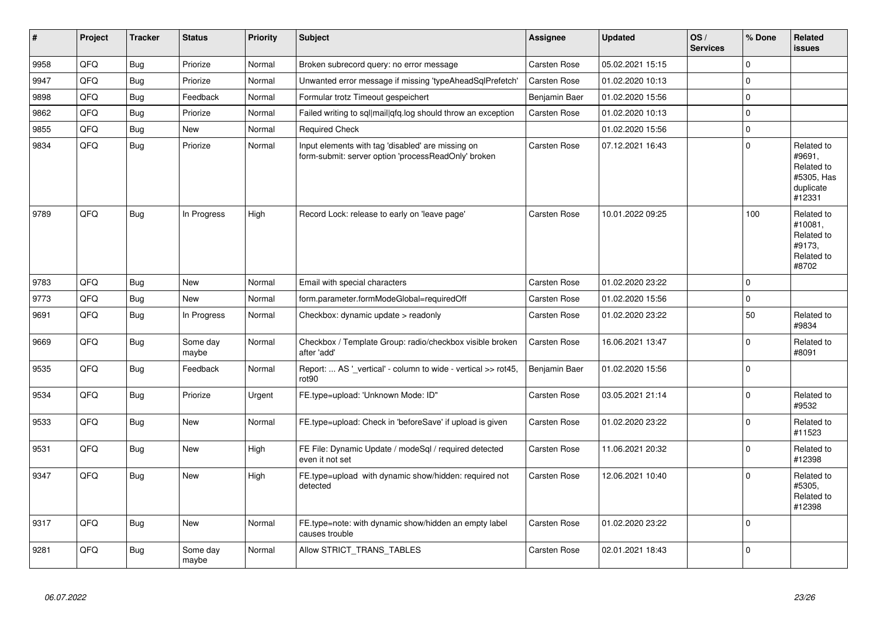| #    | Project | <b>Tracker</b> | <b>Status</b>     | <b>Priority</b> | <b>Subject</b>                                                                                           | Assignee      | <b>Updated</b>   | OS/<br><b>Services</b> | % Done              | Related<br><b>issues</b>                                                |
|------|---------|----------------|-------------------|-----------------|----------------------------------------------------------------------------------------------------------|---------------|------------------|------------------------|---------------------|-------------------------------------------------------------------------|
| 9958 | QFQ     | Bug            | Priorize          | Normal          | Broken subrecord query: no error message                                                                 | Carsten Rose  | 05.02.2021 15:15 |                        | $\mathbf 0$         |                                                                         |
| 9947 | QFQ     | Bug            | Priorize          | Normal          | Unwanted error message if missing 'typeAheadSqlPrefetch'                                                 | Carsten Rose  | 01.02.2020 10:13 |                        | $\mathbf 0$         |                                                                         |
| 9898 | QFQ     | Bug            | Feedback          | Normal          | Formular trotz Timeout gespeichert                                                                       | Benjamin Baer | 01.02.2020 15:56 |                        | 0                   |                                                                         |
| 9862 | QFQ     | Bug            | Priorize          | Normal          | Failed writing to sql mail qfq.log should throw an exception                                             | Carsten Rose  | 01.02.2020 10:13 |                        | $\mathbf 0$         |                                                                         |
| 9855 | QFQ     | Bug            | <b>New</b>        | Normal          | <b>Required Check</b>                                                                                    |               | 01.02.2020 15:56 |                        | $\mathsf{O}\xspace$ |                                                                         |
| 9834 | QFQ     | <b>Bug</b>     | Priorize          | Normal          | Input elements with tag 'disabled' are missing on<br>form-submit: server option 'processReadOnly' broken | Carsten Rose  | 07.12.2021 16:43 |                        | $\mathbf 0$         | Related to<br>#9691,<br>Related to<br>#5305, Has<br>duplicate<br>#12331 |
| 9789 | QFQ     | Bug            | In Progress       | High            | Record Lock: release to early on 'leave page'                                                            | Carsten Rose  | 10.01.2022 09:25 |                        | 100                 | Related to<br>#10081,<br>Related to<br>#9173,<br>Related to<br>#8702    |
| 9783 | QFQ     | Bug            | <b>New</b>        | Normal          | Email with special characters                                                                            | Carsten Rose  | 01.02.2020 23:22 |                        | $\mathbf 0$         |                                                                         |
| 9773 | QFQ     | Bug            | New               | Normal          | form.parameter.formModeGlobal=requiredOff                                                                | Carsten Rose  | 01.02.2020 15:56 |                        | $\mathbf 0$         |                                                                         |
| 9691 | QFQ     | Bug            | In Progress       | Normal          | Checkbox: dynamic update $>$ readonly                                                                    | Carsten Rose  | 01.02.2020 23:22 |                        | 50                  | Related to<br>#9834                                                     |
| 9669 | QFQ     | Bug            | Some day<br>maybe | Normal          | Checkbox / Template Group: radio/checkbox visible broken<br>after 'add'                                  | Carsten Rose  | 16.06.2021 13:47 |                        | $\mathbf 0$         | Related to<br>#8091                                                     |
| 9535 | QFQ     | Bug            | Feedback          | Normal          | Report:  AS '_vertical' - column to wide - vertical >> rot45,<br>rot <sub>90</sub>                       | Benjamin Baer | 01.02.2020 15:56 |                        | $\Omega$            |                                                                         |
| 9534 | QFQ     | <b>Bug</b>     | Priorize          | Urgent          | FE.type=upload: 'Unknown Mode: ID"                                                                       | Carsten Rose  | 03.05.2021 21:14 |                        | $\mathbf{0}$        | Related to<br>#9532                                                     |
| 9533 | QFQ     | Bug            | <b>New</b>        | Normal          | FE.type=upload: Check in 'beforeSave' if upload is given                                                 | Carsten Rose  | 01.02.2020 23:22 |                        | $\mathbf 0$         | Related to<br>#11523                                                    |
| 9531 | QFQ     | <b>Bug</b>     | <b>New</b>        | High            | FE File: Dynamic Update / modeSql / required detected<br>even it not set                                 | Carsten Rose  | 11.06.2021 20:32 |                        | $\mathbf 0$         | Related to<br>#12398                                                    |
| 9347 | QFQ     | <b>Bug</b>     | <b>New</b>        | High            | FE.type=upload with dynamic show/hidden: required not<br>detected                                        | Carsten Rose  | 12.06.2021 10:40 |                        | $\Omega$            | Related to<br>#5305,<br>Related to<br>#12398                            |
| 9317 | QFQ     | Bug            | <b>New</b>        | Normal          | FE.type=note: with dynamic show/hidden an empty label<br>causes trouble                                  | Carsten Rose  | 01.02.2020 23:22 |                        | $\mathbf 0$         |                                                                         |
| 9281 | QFQ     | <b>Bug</b>     | Some day<br>maybe | Normal          | Allow STRICT TRANS TABLES                                                                                | Carsten Rose  | 02.01.2021 18:43 |                        | $\mathbf 0$         |                                                                         |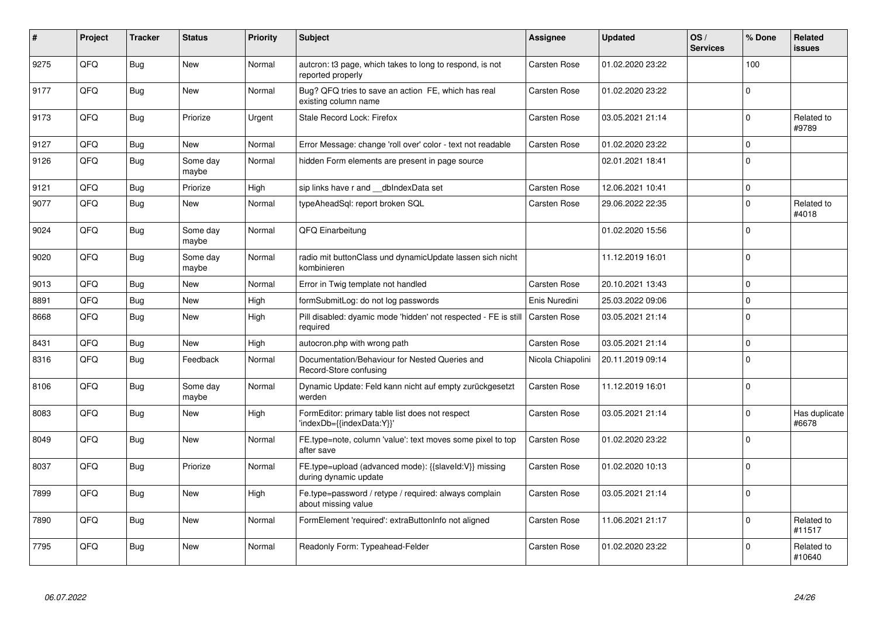| #    | Project | <b>Tracker</b> | <b>Status</b>     | <b>Priority</b> | <b>Subject</b>                                                                             | <b>Assignee</b>     | <b>Updated</b>   | OS/<br><b>Services</b> | % Done      | Related<br><b>issues</b> |
|------|---------|----------------|-------------------|-----------------|--------------------------------------------------------------------------------------------|---------------------|------------------|------------------------|-------------|--------------------------|
| 9275 | QFQ     | Bug            | <b>New</b>        | Normal          | auteron: t3 page, which takes to long to respond, is not<br>reported properly              | Carsten Rose        | 01.02.2020 23:22 |                        | 100         |                          |
| 9177 | QFQ     | <b>Bug</b>     | <b>New</b>        | Normal          | Bug? QFQ tries to save an action FE, which has real<br>existing column name                | <b>Carsten Rose</b> | 01.02.2020 23:22 |                        | $\Omega$    |                          |
| 9173 | QFQ     | <b>Bug</b>     | Priorize          | Urgent          | Stale Record Lock: Firefox                                                                 | <b>Carsten Rose</b> | 03.05.2021 21:14 |                        | $\Omega$    | Related to<br>#9789      |
| 9127 | QFQ     | <b>Bug</b>     | <b>New</b>        | Normal          | Error Message: change 'roll over' color - text not readable                                | Carsten Rose        | 01.02.2020 23:22 |                        | $\Omega$    |                          |
| 9126 | QFQ     | Bug            | Some day<br>maybe | Normal          | hidden Form elements are present in page source                                            |                     | 02.01.2021 18:41 |                        | $\Omega$    |                          |
| 9121 | QFQ     | Bug            | Priorize          | High            | sip links have r and dblndexData set                                                       | Carsten Rose        | 12.06.2021 10:41 |                        | $\Omega$    |                          |
| 9077 | QFQ     | Bug            | <b>New</b>        | Normal          | typeAheadSgl: report broken SQL                                                            | <b>Carsten Rose</b> | 29.06.2022 22:35 |                        | $\Omega$    | Related to<br>#4018      |
| 9024 | QFQ     | <b>Bug</b>     | Some day<br>maybe | Normal          | QFQ Einarbeitung                                                                           |                     | 01.02.2020 15:56 |                        | $\Omega$    |                          |
| 9020 | QFQ     | <b>Bug</b>     | Some day<br>maybe | Normal          | radio mit buttonClass und dynamicUpdate lassen sich nicht<br>kombinieren                   |                     | 11.12.2019 16:01 |                        | $\Omega$    |                          |
| 9013 | QFQ     | Bug            | <b>New</b>        | Normal          | Error in Twig template not handled                                                         | <b>Carsten Rose</b> | 20.10.2021 13:43 |                        | $\mathbf 0$ |                          |
| 8891 | QFQ     | Bug            | <b>New</b>        | High            | formSubmitLog: do not log passwords                                                        | Enis Nuredini       | 25.03.2022 09:06 |                        | $\Omega$    |                          |
| 8668 | QFQ     | Bug            | New               | High            | Pill disabled: dyamic mode 'hidden' not respected - FE is still   Carsten Rose<br>required |                     | 03.05.2021 21:14 |                        | $\Omega$    |                          |
| 8431 | QFQ     | Bug            | <b>New</b>        | High            | autocron.php with wrong path                                                               | <b>Carsten Rose</b> | 03.05.2021 21:14 |                        | $\Omega$    |                          |
| 8316 | QFQ     | Bug            | Feedback          | Normal          | Documentation/Behaviour for Nested Queries and<br>Record-Store confusing                   | Nicola Chiapolini   | 20.11.2019 09:14 |                        | $\Omega$    |                          |
| 8106 | QFQ     | <b>Bug</b>     | Some day<br>maybe | Normal          | Dynamic Update: Feld kann nicht auf empty zurückgesetzt<br>werden                          | <b>Carsten Rose</b> | 11.12.2019 16:01 |                        | $\Omega$    |                          |
| 8083 | QFQ     | Bug            | <b>New</b>        | High            | FormEditor: primary table list does not respect<br>'indexDb={{indexData:Y}}'               | <b>Carsten Rose</b> | 03.05.2021 21:14 |                        | $\Omega$    | Has duplicate<br>#6678   |
| 8049 | QFQ     | <b>Bug</b>     | <b>New</b>        | Normal          | FE.type=note, column 'value': text moves some pixel to top<br>after save                   | <b>Carsten Rose</b> | 01.02.2020 23:22 |                        | $\Omega$    |                          |
| 8037 | QFQ     | <b>Bug</b>     | Priorize          | Normal          | FE.type=upload (advanced mode): {{slaveld:V}} missing<br>during dynamic update             | <b>Carsten Rose</b> | 01.02.2020 10:13 |                        | $\Omega$    |                          |
| 7899 | QFQ     | Bug            | <b>New</b>        | High            | Fe.type=password / retype / required: always complain<br>about missing value               | <b>Carsten Rose</b> | 03.05.2021 21:14 |                        | $\Omega$    |                          |
| 7890 | QFQ     | Bug            | <b>New</b>        | Normal          | FormElement 'required': extraButtonInfo not aligned                                        | Carsten Rose        | 11.06.2021 21:17 |                        | $\Omega$    | Related to<br>#11517     |
| 7795 | QFQ     | Bug            | <b>New</b>        | Normal          | Readonly Form: Typeahead-Felder                                                            | Carsten Rose        | 01.02.2020 23:22 |                        | $\Omega$    | Related to<br>#10640     |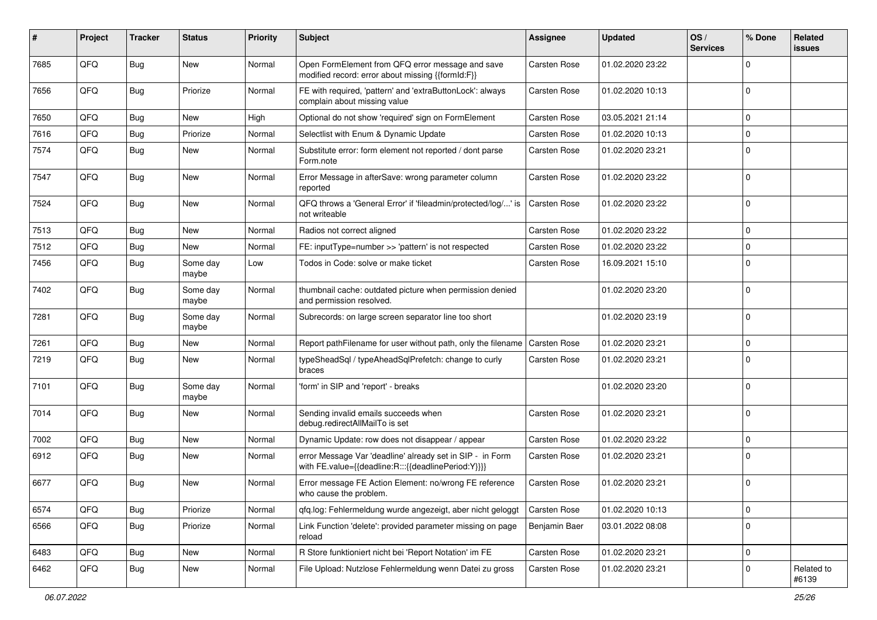| #    | Project | <b>Tracker</b> | <b>Status</b>     | <b>Priority</b> | Subject                                                                                                          | Assignee            | <b>Updated</b>   | OS/<br><b>Services</b> | % Done      | Related<br><b>issues</b> |
|------|---------|----------------|-------------------|-----------------|------------------------------------------------------------------------------------------------------------------|---------------------|------------------|------------------------|-------------|--------------------------|
| 7685 | QFQ     | Bug            | <b>New</b>        | Normal          | Open FormElement from QFQ error message and save<br>modified record: error about missing {{formId:F}}            | <b>Carsten Rose</b> | 01.02.2020 23:22 |                        | $\Omega$    |                          |
| 7656 | QFQ     | Bug            | Priorize          | Normal          | FE with required, 'pattern' and 'extraButtonLock': always<br>complain about missing value                        | <b>Carsten Rose</b> | 01.02.2020 10:13 |                        | $\Omega$    |                          |
| 7650 | QFQ     | Bug            | New               | High            | Optional do not show 'required' sign on FormElement                                                              | <b>Carsten Rose</b> | 03.05.2021 21:14 |                        | $\mathbf 0$ |                          |
| 7616 | QFQ     | <b>Bug</b>     | Priorize          | Normal          | Selectlist with Enum & Dynamic Update                                                                            | Carsten Rose        | 01.02.2020 10:13 |                        | $\mathbf 0$ |                          |
| 7574 | QFQ     | <b>Bug</b>     | <b>New</b>        | Normal          | Substitute error: form element not reported / dont parse<br>Form.note                                            | <b>Carsten Rose</b> | 01.02.2020 23:21 |                        | $\mathbf 0$ |                          |
| 7547 | QFQ     | <b>Bug</b>     | New               | Normal          | Error Message in afterSave: wrong parameter column<br>reported                                                   | <b>Carsten Rose</b> | 01.02.2020 23:22 |                        | $\mathbf 0$ |                          |
| 7524 | QFQ     | Bug            | New               | Normal          | QFQ throws a 'General Error' if 'fileadmin/protected/log/' is<br>not writeable                                   | Carsten Rose        | 01.02.2020 23:22 |                        | $\mathbf 0$ |                          |
| 7513 | QFQ     | Bug            | New               | Normal          | Radios not correct aligned                                                                                       | <b>Carsten Rose</b> | 01.02.2020 23:22 |                        | $\mathbf 0$ |                          |
| 7512 | QFQ     | Bug            | New               | Normal          | FE: inputType=number >> 'pattern' is not respected                                                               | Carsten Rose        | 01.02.2020 23:22 |                        | $\mathbf 0$ |                          |
| 7456 | QFQ     | <b>Bug</b>     | Some day<br>maybe | Low             | Todos in Code: solve or make ticket                                                                              | Carsten Rose        | 16.09.2021 15:10 |                        | $\Omega$    |                          |
| 7402 | QFQ     | Bug            | Some day<br>maybe | Normal          | thumbnail cache: outdated picture when permission denied<br>and permission resolved.                             |                     | 01.02.2020 23:20 |                        | $\mathbf 0$ |                          |
| 7281 | QFQ     | <b>Bug</b>     | Some day<br>maybe | Normal          | Subrecords: on large screen separator line too short                                                             |                     | 01.02.2020 23:19 |                        | $\mathbf 0$ |                          |
| 7261 | QFQ     | Bug            | New               | Normal          | Report pathFilename for user without path, only the filename                                                     | <b>Carsten Rose</b> | 01.02.2020 23:21 |                        | $\mathbf 0$ |                          |
| 7219 | QFQ     | Bug            | New               | Normal          | typeSheadSql / typeAheadSqlPrefetch: change to curly<br>braces                                                   | <b>Carsten Rose</b> | 01.02.2020 23:21 |                        | $\Omega$    |                          |
| 7101 | QFQ     | Bug            | Some day<br>maybe | Normal          | 'form' in SIP and 'report' - breaks                                                                              |                     | 01.02.2020 23:20 |                        | $\mathbf 0$ |                          |
| 7014 | QFQ     | Bug            | <b>New</b>        | Normal          | Sending invalid emails succeeds when<br>debug.redirectAllMailTo is set                                           | <b>Carsten Rose</b> | 01.02.2020 23:21 |                        | $\mathbf 0$ |                          |
| 7002 | QFQ     | <b>Bug</b>     | New               | Normal          | Dynamic Update: row does not disappear / appear                                                                  | Carsten Rose        | 01.02.2020 23:22 |                        | $\mathbf 0$ |                          |
| 6912 | QFQ     | <b>Bug</b>     | <b>New</b>        | Normal          | error Message Var 'deadline' already set in SIP - in Form<br>with FE.value={{deadline:R:::{{deadlinePeriod:Y}}}} | Carsten Rose        | 01.02.2020 23:21 |                        | $\Omega$    |                          |
| 6677 | QFQ     | Bug            | New               | Normal          | Error message FE Action Element: no/wrong FE reference<br>who cause the problem.                                 | Carsten Rose        | 01.02.2020 23:21 |                        | $\mathbf 0$ |                          |
| 6574 | QFQ     | <b>Bug</b>     | Priorize          | Normal          | qfq.log: Fehlermeldung wurde angezeigt, aber nicht geloggt                                                       | <b>Carsten Rose</b> | 01.02.2020 10:13 |                        | $\mathbf 0$ |                          |
| 6566 | QFQ     | Bug            | Priorize          | Normal          | Link Function 'delete': provided parameter missing on page<br>reload                                             | Benjamin Baer       | 03.01.2022 08:08 |                        | $\mathbf 0$ |                          |
| 6483 | QFQ     | Bug            | New               | Normal          | R Store funktioniert nicht bei 'Report Notation' im FE                                                           | Carsten Rose        | 01.02.2020 23:21 |                        | $\pmb{0}$   |                          |
| 6462 | QFQ     | Bug            | New               | Normal          | File Upload: Nutzlose Fehlermeldung wenn Datei zu gross                                                          | Carsten Rose        | 01.02.2020 23:21 |                        | $\mathbf 0$ | Related to<br>#6139      |